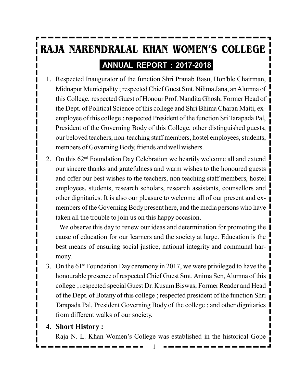# **RAJA NARENDRALAL KHAN WOMEN'S COLLEGE ANNUAL REPORT : 2017-2018**

- 1. Respected Inaugurator of the function Shri Pranab Basu, Hon'ble Chairman, Midnapur Municipality ; respected Chief Guest Smt. Nilima Jana, an Alumna of this College, respected Guest of Honour Prof. Nandita Ghosh, Former Head of the Dept. of Political Science of this college and Shri Bhima Charan Maiti, exemployee of this college ; respected President of the function Sri Tarapada Pal, President of the Governing Body of this College, other distinguished guests, our beloved teachers, non-teaching staff members, hostel employees, students, members of Governing Body, friends and well wishers.
- 2. On this 62nd Foundation Day Celebration we heartily welcome all and extend our sincere thanks and gratefulness and warm wishes to the honoured guests and offer our best wishes to the teachers, non teaching staff members, hostel employees, students, research scholars, research assistants, counsellors and other dignitaries. It is also our pleasure to welcome all of our present and exmembers of the Governing Body present here, and the media persons who have taken all the trouble to join us on this happy occasion.

We observe this day to renew our ideas and determination for promoting the cause of education for our learners and the society at large. Education is the best means of ensuring social justice, national integrity and communal harmony.

3. On the 61st Foundation Day ceremony in 2017, we were privileged to have the honourable presence of respected Chief Guest Smt. Anima Sen, Alumna of this college ; respected special Guest Dr. Kusum Biswas, Former Reader and Head of the Dept. of Botany of this college ; respected president of the function Shri Tarapada Pal, President Governing Body of the college ; and other dignitaries from different walks of our society.

#### **4. Short History :**

Raja N. L. Khan Women's College was established in the historical Gope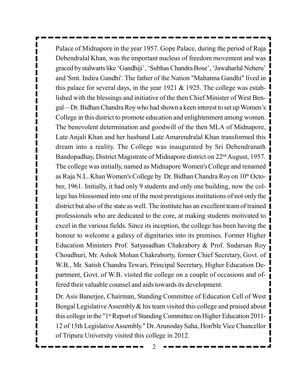Palace of Midnapore in the year 1957. Gope Palace, during the period of Raja Debendralal Khan, was the important nucleus of freedom movement and was graced by stalwarts like 'Gandhiji', 'Subhas Chandra Bose', 'Jawaharlal Neheru' and 'Smt. Indira Gandhi'. The father of the Nation "Mahatma Gandhi" lived in this palace for several days, in the year 1921  $&$  1925. The college was established with the blessings and initiative of the then Chief Minister of West Bengal—Dr. Bidhan Chandra Roy who had shown a keen interest to set up Women's College in this district to promote education and enlightenment among women. The benevolent determination and goodwill of the then MLA of Midnapore, Late Anjali Khan and her husband Late Amarendralal Khan transformed this dream into a reality. The College was inaugurated by Sri Debendranath Bandopadhay, District Magistrate of Midnapore district on 22<sup>nd</sup> August, 1957. The college was initially, named as Midnapore Women's College and renamed as Raja N.L. Khan Women's College by Dr. Bidhan Chandra Roy on 10th October, 1961. Initially, it had only 9 students and only one building, now the college has blossomed into one of the most prestigious institutions of not only the district but also of the state as well. The institute has an excellent team of trained professionals who are dedicated to the core, at making students motivated to excel in the various fields. Since its inception, the college has been having the honour to welcome a galaxy of dignitaries into its premises. Former Higher Education Ministers Prof. Satyasadhan Chakrabory & Prof. Sudarsan Roy Choudhuri, Mr. Ashok Mohan Chakraborty, former Chief Secretary, Govt. of W.B., Mr. Satish Chandra Tewari, Principal Secretary, Higher Education Department, Govt. of W.B. visited the college on a couple of occasions and offered their valuable counsel and aids towards its development.

Dr. Asis Banerjee, Chairman, Standing Committee of Education Cell of West Bengal Legislative Assembly & his team visited this college and praised about this college in the "1<sup>st</sup> Report of Standing Committee on Higher Education 2011-12 of 15th Legislative Assembly." Dr. Arunoday Saha, Hon'ble Vice Chancellor of Tripura University visited this college in 2012.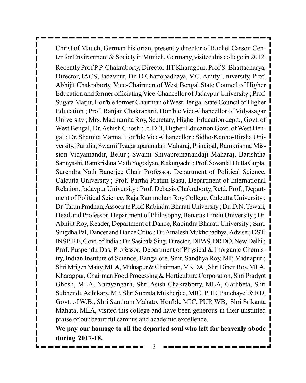Christ of Mauch, German historian, presently director of Rachel Carson Center for Environment & Society in Munich, Germany, visited this college in 2012. Recently Prof P.P. Chakraborty, Director IIT Kharagpur, Prof S. Bhattacharya, Director, IACS, Jadavpur, Dr. D Chattopadhaya, V.C. Amity University, Prof. Abhijit Chakraborty, Vice-Chairman of West Bengal State Council of Higher Education and former officiating Vice-Chancellor of Jadavpur University ; Prof. Sugata Marjit, Hon'ble former Chairman of West Bengal State Council of Higher Education ; Prof. Ranjan Chakrabarti, Hon'ble Vice-Chancellor of Vidyasagar University ; Mrs. Madhumita Roy, Secretary, Higher Education deptt., Govt. of West Bengal, Dr. Ashish Ghosh ; Jt. DPl, Higher Education Govt. of West Bengal ; Dr. Shamita Manna, Hon'ble Vice-Chancellor ; Sidho-Kanho-Birsha University, Purulia; Swami Tyagarupanandaji Maharaj, Principal, Ramkrishna Mission Vidyamandir, Belur ; Swami Shivapremanandaji Maharaj, Barishtha Sannyashi, Ramkrishna Math Yogodyan, Kakurgachi ; Prof. Sovanlal Dutta Gupta, Surendra Nath Banerjee Chair Professor, Department of Political Science, Calcutta University ; Prof. Partha Pratim Basu, Department of International Relation, Jadavpur University ; Prof. Debasis Chakraborty, Retd. Prof., Department of Political Science, Raja Rammohan Roy College, Calcutta University ; Dr. Tarun Pradhan, Associate Prof. Rabindra Bharati University ; Dr. D.N. Tewari, Head and Professor, Department of Philosophy, Benaras Hindu University ; Dr. Abhijit Roy, Reader, Department of Dance, Rabindra Bharati University ; Smt. Snigdha Pal, Dancer and Dance Critic ; Dr. Amalesh Mukhopadhya, Adviser, DST-INSPIRE, Govt. of India ; Dr. Sasibala Sing, Director, DIPAS, DRDO, New Delhi ; Prof. Puspendu Das, Professor, Department of Physical & Inorganic Chemistry, Indian Institute of Science, Bangalore, Smt. Sandhya Roy, MP, Midnapur ; Shri Mrigen Maity, MLA, Midnapur & Chairman, MKDA ; Shri Dinen Roy, MLA, Kharagpur, Chairman Food Processing & Horticulture Corporation, Shri Pradyot Ghosh, MLA, Narayangarh, Shri Asish Chakraborty, MLA, Garhbeta, Shri Subhendu Adhikary, MP, Shri Subrata Mukherjee, MIC, PHE, Panchayet & RD, Govt. of W.B., Shri Santiram Mahato, Hon'ble MIC, PUP, WB, Shri Srikanta Mahata, MLA, visited this college and have been generous in their unstinted praise of our beautiful campus and academic excellence.

**We pay our homage to all the departed soul who left for heavenly abode during 2017-18.**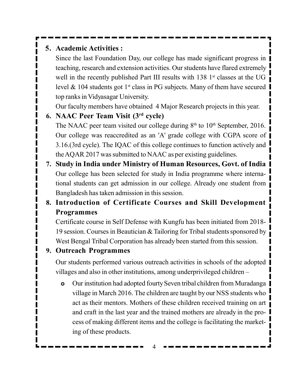### **5. Academic Activities :**

Since the last Foundation Day, our college has made significant progress in teaching, research and extension activities. Our students have flared extremely well in the recently published Part III results with  $138$  1<sup>st</sup> classes at the UG level  $\&$  104 students got 1<sup>st</sup> class in PG subjects. Many of them have secured top ranks in Vidyasagar University.

Our faculty members have obtained 4 Major Research projects in this year.

### **6. NAAC Peer Team Visit (3rd cycle)** The NAAC peer team visited our college during  $8<sup>th</sup>$  to  $10<sup>th</sup>$  September, 2016. Our college was reaccredited as an 'A' grade college with CGPA score of 3.16.(3rd cycle). The IQAC of this college continues to function actively and the AQAR 2017 was submitted to NAAC as per existing guidelines.

**7. Study in India under Ministry of Human Resources, Govt. of India** Our college has been selected for study in India programme where international students can get admission in our college. Already one student from Bangladesh has taken admission in this session.

### **8. Introduction of Certificate Courses and Skill Development Programmes**

Certificate course in Self Defense with Kungfu has been initiated from 2018- 19 session. Courses in Beautician & Tailoring for Tribal students sponsored by West Bengal Tribal Corporation has already been started from this session.

### **9. Outreach Programmes**

Our students performed various outreach activities in schools of the adopted villages and also in other institutions, among underprivileged children –

 Our institution had adopted fourty Seven tribal children from Muradanga village in March 2016. The children are taught by our NSS students who act as their mentors. Mothers of these children received training on art and craft in the last year and the trained mothers are already in the process of making different items and the college is facilitating the marketing of these products.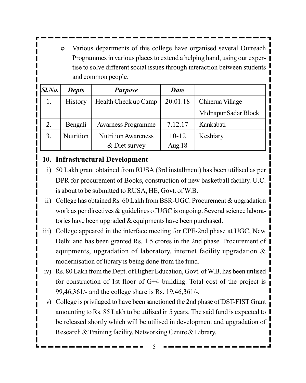Various departments of this college have organised several Outreach Programmes in various places to extend a helping hand, using our expertise to solve different social issues through interaction between students and common people.

| Sl.No. | <b>Depts</b>     | <b>Purpose</b>             | Date      |                      |
|--------|------------------|----------------------------|-----------|----------------------|
| 1.     | <b>History</b>   | Health Check up Camp       | 20.01.18  | Chherua Village      |
|        |                  |                            |           | Midnapur Sadar Block |
| 2.     | Bengali          | <b>Awarness Programme</b>  | 7.12.17   | Kankabati            |
| 3.     | <b>Nutrition</b> | <b>Nutrition Awareness</b> | $10 - 12$ | Keshiary             |
|        |                  | & Diet survey              | Aug.18    |                      |

### **10. Infrastructural Development**

- i) 50 Lakh grant obtained from RUSA (3rd installment) has been utilised as per DPR for procurement of Books, construction of new basketball facility. U.C. is about to be submitted to RUSA, HE, Govt. of W.B.
- ii) College has obtained Rs. 60 Lakh from BSR-UGC. Procurement & upgradation work as per directives & guidelines of UGC is ongoing. Several science laboratories have been upgraded & equipments have been purchased.
- iii) College appeared in the interface meeting for CPE-2nd phase at UGC, New Delhi and has been granted Rs. 1.5 crores in the 2nd phase. Procurement of equipments, upgradation of laboratory, internet facility upgradation & modernisation of library is being done from the fund.
- iv) Rs. 80 Lakh from the Dept. of Higher Education, Govt. of W.B. has been utilised for construction of 1st floor of G+4 building. Total cost of the project is 99,46,361/- and the college share is Rs. 19,46,361/-.
- v) College is privilaged to have been sanctioned the 2nd phase of DST-FIST Grant amounting to Rs. 85 Lakh to be utilised in 5 years. The said fund is expected to be released shortly which will be utilised in development and upgradation of Research & Training facility, Networking Centre & Library.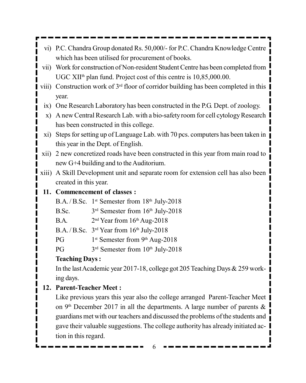- vi) P.C. Chandra Group donated Rs. 50,000/- for P.C. Chandra Knowledge Centre which has been utilised for procurement of books.
- vii) Work for construction of Non-resident Student Centre has been completed from UGC XII<sup>th</sup> plan fund. Project cost of this centre is 10,85,000.00.
- viii) Construction work of  $3<sup>rd</sup>$  floor of corridor building has been completed in this year.
	- ix) One Research Laboratory has been constructed in the P.G. Dept. of zoology.
	- x) A new Central Research Lab. with a bio-safety room for cell cytology Research has been constructed in this college.
- xi) Steps for setting up of Language Lab. with 70 pcs. computers has been taken in this year in the Dept. of English.
- xii) 2 new concretized roads have been constructed in this year from main road to new G+4 building and to the Auditorium.
- xiii) A Skill Development unit and separate room for extension cell has also been created in this year.

### **11. Commencement of classes :**

- B.A. / B.Sc. 1<sup>st</sup> Semester from 18<sup>th</sup> July-2018
- $B.Sc.$ 3<sup>rd</sup> Semester from 16<sup>th</sup> July-2018
- $BA.$  $2<sup>nd</sup> Year from 16<sup>th</sup> Aug-2018$
- B.A. / B.Sc.  $3<sup>rd</sup>$  Year from  $16<sup>th</sup>$  July-2018
- $PG$ 1<sup>st</sup> Semester from 9<sup>th</sup> Aug-2018
- $PG$ 3<sup>rd</sup> Semester from 10<sup>th</sup> July-2018

### **Teaching Days :**

In the last Academic year 2017-18, college got 205 Teaching Days & 259 working days.

### **12. Parent-Teacher Meet :**

Like previous years this year also the college arranged Parent-Teacher Meet on 9<sup>th</sup> December 2017 in all the departments. A large number of parents  $\&$ guardians met with our teachers and discussed the problems of the students and gave their valuable suggestions. The college authority has already initiated action in this regard.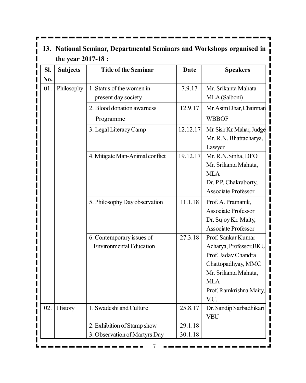|     |                    | 13. National Seminar, Departmental Seminars and Workshops organised in |             |                                                                                                                                                                     |
|-----|--------------------|------------------------------------------------------------------------|-------------|---------------------------------------------------------------------------------------------------------------------------------------------------------------------|
|     | the year 2017-18 : |                                                                        |             |                                                                                                                                                                     |
| SI. | <b>Subjects</b>    | <b>Title of the Seminar</b>                                            | <b>Date</b> | <b>Speakers</b>                                                                                                                                                     |
| No. |                    |                                                                        |             |                                                                                                                                                                     |
| 01. | Philosophy         | 1. Status of the women in<br>present day society                       | 7.9.17      | Mr. Srikanta Mahata<br>MLA (Salboni)                                                                                                                                |
|     |                    | 2. Blood donation awarness<br>Programme                                | 12.9.17     | Mr. Asim Dhar, Chairman<br><b>WBBOF</b>                                                                                                                             |
|     |                    | 3. Legal Literacy Camp                                                 | 12.12.17    | Mr. Sisir Kr. Mahar, Judge<br>Mr. R.N. Bhattacharya,<br>Lawyer                                                                                                      |
|     |                    | 4. Mitigate Man-Animal conflict                                        | 19.12.17    | Mr. R.N. Sinha, DFO<br>Mr. Srikanta Mahata,<br><b>MLA</b><br>Dr. P.P. Chakraborty,<br><b>Associate Professor</b>                                                    |
|     |                    | 5. Philosophy Day observation                                          | 11.1.18     | Prof. A. Pramanik,<br><b>Associate Professor</b><br>Dr. Sujoy Kr. Maity,<br><b>Associate Professor</b>                                                              |
|     |                    | 6. Contemporary issues of<br><b>Environmental Education</b>            | 27.3.18     | Prof. Sankar Kumar<br>Acharya, Professor, BKU<br>Prof. Jadav Chandra<br>Chattopadhyay, MMC<br>Mr. Srikanta Mahata,<br><b>MLA</b><br>Prof. Ramkrishna Maity,<br>V.U. |
| 02. | <b>History</b>     | 1. Swadeshi and Culture                                                | 25.8.17     | Dr. Sandip Sarbadhikari<br><b>VBU</b>                                                                                                                               |
|     |                    | 2. Exhibition of Stamp show                                            | 29.1.18     |                                                                                                                                                                     |
|     |                    | 3. Observation of Martyrs Day                                          | 30.1.18     |                                                                                                                                                                     |

ŗ

-----

 $\overline{\phantom{0}}$ 

 $\sim$   $\sim$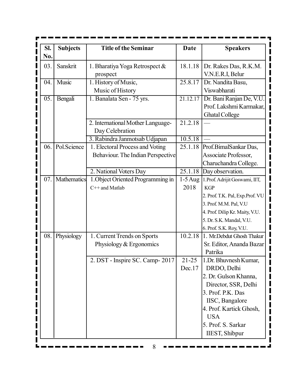| SI. | <b>Subjects</b> | <b>Title of the Seminar</b>       | <b>Date</b> | <b>Speakers</b>                   |
|-----|-----------------|-----------------------------------|-------------|-----------------------------------|
| No. |                 |                                   |             |                                   |
| 03. | Sanskrit        | 1. Bharatiya Yoga Retrospect &    | 18.1.18     | Dr. Rakes Das, R.K.M.             |
|     |                 | prospect                          |             | V.N.E.R.I, Belur                  |
| 04. | Music           | 1. History of Music,              | 25.8.17     | Dr. Nandita Basu,                 |
|     |                 | Music of History                  |             | Viswabharati                      |
| 05. | Bengali         | 1. Banalata Sen - 75 yrs.         | 21.12.17    | Dr. Bani Ranjan De, V.U.          |
|     |                 |                                   |             | Prof. Lakshmi Karmakar.           |
|     |                 |                                   |             | <b>Ghatal College</b>             |
|     |                 | 2. International Mother Language- | 21.2.18     |                                   |
|     |                 | Day Celebration                   |             |                                   |
|     |                 | 3. Rabindra Janmotsab Udjapan     | 10.5.18     |                                   |
| 06. | Pol.Science     | 1. Electoral Process and Voting   |             | 25.1.18 Prof.BimalSankar Das,     |
|     |                 | Behaviour. The Indian Perspective |             | Associate Professor,              |
|     |                 |                                   |             | Charuchandra College.             |
|     |                 | 2. National Voters Day            |             | 25.1.18 Day observation.          |
| 07. | Mathematics     | 1. Object Oriented Programming in | $1-5$ Aug   | 1. Prof. Adrijit Goswami, IIT,    |
|     |                 | $C++$ and Matlab                  | 2018        | <b>KGP</b>                        |
|     |                 |                                   |             | 2. Prof. T.K. Pal, Exp. Prof. VU  |
|     |                 |                                   |             | 3. Prof. M.M. Pal, V.U            |
|     |                 |                                   |             | 4. Prof. Dilip Kr. Maity, V.U.    |
|     |                 |                                   |             | 5. Dr. S.K. Mandal, V.U.          |
|     |                 |                                   |             | 6. Prof. S.K. Roy, V.U.           |
| 08. | Physiology      | 1. Current Trends on Sports       |             | 10.2.18 1. Mr.Debdut Ghosh Thakur |
|     |                 | Physiology & Ergonomics           |             | Sr. Editor, Ananda Bazar          |
|     |                 |                                   |             | Patrika                           |
|     |                 | 2. DST - Inspire SC. Camp-2017    | $21 - 25$   | 1. Dr. Bhuvnesh Kumar,            |
|     |                 |                                   | Dec.17      | DRDO, Delhi                       |
|     |                 |                                   |             | 2. Dr. Gulson Khanna,             |
|     |                 |                                   |             | Director, SSR, Delhi              |
|     |                 |                                   |             | 3. Prof. P.K. Das                 |
|     |                 |                                   |             | IISC, Bangalore                   |
|     |                 |                                   |             | 4. Prof. Kartick Ghosh,           |
|     |                 |                                   |             | <b>USA</b>                        |
|     |                 |                                   |             | 5. Prof. S. Sarkar                |
|     |                 |                                   |             | <b>IIEST, Shibpur</b>             |
|     |                 | 8                                 |             |                                   |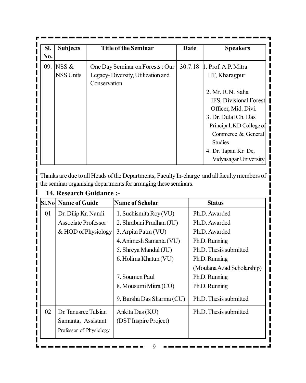| SI.<br>N0. | <b>Subjects</b>           | <b>Title of the Seminar</b>                                                          | Date | <b>Speakers</b>                                                                                                                                                                                                                                                 |
|------------|---------------------------|--------------------------------------------------------------------------------------|------|-----------------------------------------------------------------------------------------------------------------------------------------------------------------------------------------------------------------------------------------------------------------|
| 09.        | NSS &<br><b>NSS Units</b> | One Day Seminar on Forests: Our<br>Legacy-Diversity, Utilization and<br>Conservation |      | 30.7.18 1. Prof. A.P. Mitra<br>IIT, Kharagpur<br>2. Mr. R.N. Saha<br>IFS, Divisional Forest<br>Officer, Mid. Divi.<br>3. Dr. Dulal Ch. Das<br>Principal, KD College of<br>Commerce & General<br><b>Studies</b><br>4. Dr. Tapan Kr. De,<br>Vidyasagar University |

Thanks are due to all Heads of the Departments, Faculty In-charge and all faculty members of the seminar organising departments for arranging these seminars.

|    | 14. Research Guidance :-    |                           |                            |
|----|-----------------------------|---------------------------|----------------------------|
|    | <b>SI.Nol Name of Guide</b> | <b>Name of Scholar</b>    | <b>Status</b>              |
| 01 | Dr. Dilip Kr. Nandi         | 1. Suchismita Roy (VU)    | Ph.D. Awarded              |
|    | Associate Professor         | 2. Shrabani Pradhan (JU)  | Ph.D. Awarded              |
|    | & HOD of Physiology         | 3. Arpita Patra (VU)      | Ph.D. Awarded              |
|    |                             | 4. Animesh Samanta (VU)   | Ph.D. Running              |
|    |                             | 5. Shreya Mandal (JU)     | Ph.D. Thesis submitted     |
|    |                             | 6. Holima Khatun (VU)     | Ph.D. Running              |
|    |                             |                           | (Moulana Azad Scholarship) |
|    |                             | 7. Soumen Paul            | Ph.D. Running              |
|    |                             | 8. Mousumi Mitra (CU)     | Ph.D. Running              |
|    |                             | 9. Barsha Das Sharma (CU) | Ph.D. Thesis submitted     |
| 02 | Dr. Tanusree Tulsian        | Ankita Das (KU)           | Ph.D. Thesis submitted     |
|    | Samanta, Assistant          | (DST Inspire Project)     |                            |
|    | Professor of Physiology     |                           |                            |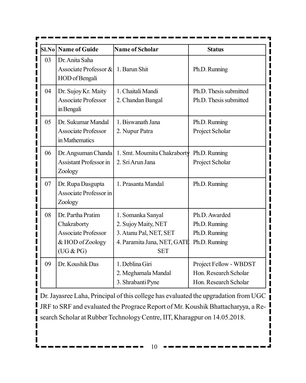|    | SI.No   Name of Guide                                                                           | Name of Scholar                                                                                                 | <b>Status</b>                                                            |
|----|-------------------------------------------------------------------------------------------------|-----------------------------------------------------------------------------------------------------------------|--------------------------------------------------------------------------|
| 03 | Dr. Anita Saha<br>Associate Professor &<br>HOD of Bengali                                       | 1. Barun Shit                                                                                                   | Ph.D. Running                                                            |
| 04 | Dr. Sujoy Kr. Maity<br><b>Associate Professor</b><br>in Bengali                                 | 1. Chaitali Mandi<br>2. Chandan Bangal                                                                          | Ph.D. Thesis submitted<br>Ph.D. Thesis submitted                         |
| 05 | Dr. Sukumar Mandal<br><b>Associate Professor</b><br>in Mathematics                              | 1. Biswanath Jana<br>2. Nupur Patra                                                                             | Ph.D. Running<br>Project Scholar                                         |
| 06 | Dr. Angsuman Chanda<br><b>Assistant Professor in</b><br>Zoology                                 | 1. Smt. Moumita Chakraborty<br>2. Sri Arun Jana                                                                 | Ph.D. Running<br>Project Scholar                                         |
| 07 | Dr. Rupa Dasgupta<br>Associate Professor in<br>Zoology                                          | 1. Prasanta Mandal                                                                                              | Ph.D. Running                                                            |
| 08 | Dr. Partha Pratim<br>Chakraborty<br><b>Associate Professor</b><br>& HOD of Zoology<br>(UG & PG) | 1. Somanka Sanyal<br>2. Sujoy Maity, NET<br>3. Atanu Pal, NET, SET<br>4. Paramita Jana, NET, GATE<br><b>SET</b> | Ph.D. Awarded<br>Ph.D. Running<br>Ph.D. Running<br>Ph.D. Running         |
| 09 | Dr. Koushik Das                                                                                 | 1. Deblina Giri<br>2. Meghamala Mandal<br>3. Shrabanti Pyne                                                     | Project Fellow - WBDST<br>Hon. Research Scholar<br>Hon. Research Scholar |

Dr. Jayasree Laha, Principal of this college has evaluated the upgradation from UGC JRF to SRF and evaluated the Prograce Report of Mr. Koushik Bhattacharyya, a Research Scholar at Rubber Technology Centre, IIT, Kharagpur on 14.05.2018.

Ш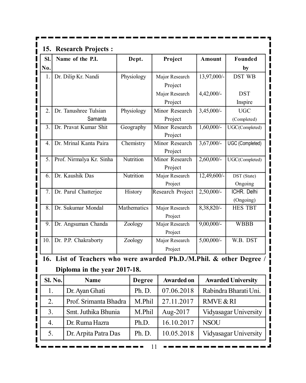| 15.                            |         | <b>Research Projects:</b>                                        |                |                           |                      |                           |
|--------------------------------|---------|------------------------------------------------------------------|----------------|---------------------------|----------------------|---------------------------|
| SI.                            |         | Name of the P.I.                                                 | Dept.          | Project                   | <b>Amount</b>        | Founded                   |
| I<br>No.                       |         |                                                                  |                |                           |                      | by                        |
| I<br>1.                        |         | Dr. Dilip Kr. Nandi                                              | Physiology     | Major Research            | 13,97,000/-          | DST WB                    |
| I                              |         |                                                                  |                | Project                   |                      |                           |
| <br>                           |         |                                                                  |                | Major Research            | $4,42,000/-$         | <b>DST</b>                |
| I                              |         |                                                                  |                | Project                   |                      | Inspire                   |
| 2.                             |         | Dr. Tanushree Tulsian                                            | Physiology     | Minor Research            | 3,45,000/-           | <b>UGC</b>                |
| $\mathbf i$                    |         | Samanta                                                          |                | Project                   |                      | (Completed)               |
| 3.<br>$\mathbf i$              |         | Dr. Pravat Kumar Shit                                            | Geography      | Minor Research            | $1,60,000/-$         | UGC(Completed)            |
| I                              |         |                                                                  |                | Project                   |                      |                           |
| 4.<br>$\overline{\phantom{a}}$ |         | Dr. Mrinal Kanta Paira                                           | Chemistry      | Minor Research            | $3,67,000/-$         | UGC (Completed)           |
| I<br>5.                        |         | Prof. Nirmalya Kr. Sinha                                         | Nutrition      | Project<br>Minor Research | 2,60,000/-           | UGC(Completed)            |
| $\mathbf i$                    |         |                                                                  |                | Project                   |                      |                           |
| 6.<br>$\overline{\phantom{a}}$ |         | Dr. Kaushik Das                                                  | Nutrition      | Major Research            | 12,49,600/-          | DST (State)               |
| I                              |         |                                                                  |                | Project                   |                      | Ongoing                   |
| I<br>7.                        |         | Dr. Parul Chatterjee                                             | <b>History</b> | Research Project          | 2,50,000/-           | ICHR. Delhi               |
| $\overline{\phantom{a}}$       |         |                                                                  |                |                           |                      | (Ongoing)                 |
| I<br>8.<br>I                   |         | Dr. Sukumar Mondal                                               | Mathematics    | Major Research            | 8,38,820/-           | <b>HES TBT</b>            |
| I                              |         |                                                                  |                | Project                   |                      |                           |
| 9.<br>I                        |         | Dr. Angsuman Chanda                                              | Zoology        | Major Research            | $9,00,000/$ -        | <b>WBBB</b>               |
| I<br>10.                       |         |                                                                  |                | Project                   | $5,00,000/$ -        | W.B. DST                  |
| I                              |         | Dr. P.P. Chakraborty                                             | Zoology        | Major Research            |                      |                           |
|                                |         |                                                                  |                | Project                   |                      |                           |
| 16.                            |         | List of Teachers who were awarded Ph.D./M.Phil. & other Degree / |                |                           |                      |                           |
|                                |         | Diploma in the year 2017-18.                                     |                |                           |                      |                           |
| i                              | Sl. No. | Name                                                             | <b>Degree</b>  | Awarded on                |                      | <b>Awarded University</b> |
| I<br>1.                        |         | Dr. Ayan Ghati                                                   | Ph.D.          | 07.06.2018                |                      | Rabindra Bharati Uni.     |
| I<br>2.                        |         | Prof. Srimanta Bhadra                                            | M.Phil         | 27.11.2017                | <b>RMVE &amp; RI</b> |                           |
| l<br>I<br>3.                   |         | Smt. Juthika Bhunia                                              | M.Phil         | Aug-2017                  |                      | Vidyasagar University     |
| 4.<br>I                        |         | Dr. Ruma Hazra                                                   | Ph.D.          | 16.10.2017                | <b>NSOU</b>          |                           |
| I<br>5.                        |         | Dr. Arpita Patra Das                                             | Ph.D.          | 10.05.2018                |                      | Vidyasagar University     |
|                                |         |                                                                  |                |                           |                      |                           |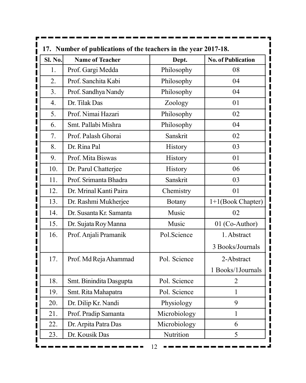| <b>Sl. No.</b>   | <b>Name of Teacher</b>  | Dept.          | <b>No. of Publication</b> |
|------------------|-------------------------|----------------|---------------------------|
| 1.               | Prof. Gargi Medda       | Philosophy     | 08                        |
| 2.               | Prof. Sanchita Kabi     | Philosophy     | 04                        |
| 3.               | Prof. Sandhya Nandy     | Philosophy     | 04                        |
| $\overline{4}$ . | Dr. Tilak Das           | Zoology        | 01                        |
| 5.               | Prof. Nimai Hazari      | Philosophy     | 02                        |
| 6.               | Smt. Pallabi Mishra     | Philosophy     | 04                        |
| 7.               | Prof. Palash Ghorai     | Sanskrit       | 02                        |
| 8.               | Dr. Rina Pal            | <b>History</b> | 03                        |
| 9.               | Prof. Mita Biswas       | <b>History</b> | 01                        |
| 10.              | Dr. Parul Chatterjee    | <b>History</b> | 06                        |
| 11.              | Prof. Srimanta Bhadra   | Sanskrit       | 03                        |
| 12.              | Dr. Mrinal Kanti Paira  | Chemistry      | 01                        |
| 13.              | Dr. Rashmi Mukherjee    | <b>Botany</b>  | $1+1$ (Book Chapter)      |
| 14.              | Dr. Susanta Kr. Samanta | Music          | 02                        |
| 15.              | Dr. Sujata Roy Manna    | Music          | 01 (Co-Author)            |
| 16.              | Prof. Anjali Pramanik   | Pol.Science    | 1. Abstract               |
|                  |                         |                | 3 Books/Journals          |
| 17.              | Prof. Md Reja Ahammad   | Pol. Science   | 2-Abstract                |
|                  |                         |                | 1 Books/1Journals         |
| 18.              | Smt. Binindita Dasgupta | Pol. Science   | $\overline{2}$            |
| 19.              | Smt. Rita Mahapatra     | Pol. Science   | 1                         |
| 20.              | Dr. Dilip Kr. Nandi     | Physiology     | 9                         |
| 21.              | Prof. Pradip Samanta    | Microbiology   | $\mathbf{1}$              |
| 22.              | Dr. Arpita Patra Das    | Microbiology   | 6                         |
| 23.              | Dr. Kousik Das          | Nutrition      | 5                         |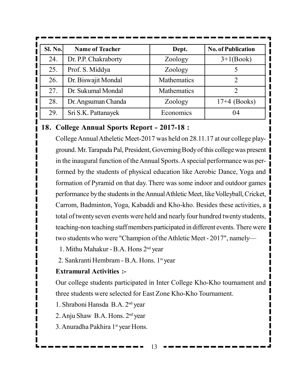| <b>Sl. No.</b> | <b>Name of Teacher</b> | Dept.       | <b>No. of Publication</b>                                                                                                                                          |
|----------------|------------------------|-------------|--------------------------------------------------------------------------------------------------------------------------------------------------------------------|
| 24.            | Dr. P.P. Chakraborty   | Zoology     | $3+1(Book)$                                                                                                                                                        |
| 25.            | Prof. S. Middya        | Zoology     |                                                                                                                                                                    |
| 26.            | Dr. Biswajit Mondal    | Mathematics | $\mathcal{D}_{\mathcal{A}}^{\mathcal{A}}(\mathcal{A}) = \mathcal{D}_{\mathcal{A}}^{\mathcal{A}}(\mathcal{A}) \mathcal{D}_{\mathcal{A}}^{\mathcal{A}}(\mathcal{A})$ |
| 27.            | Dr. Sukumal Mondal     | Mathematics | 2                                                                                                                                                                  |
| 28.            | Dr. Angsuman Chanda    | Zoology     | $17+4$ (Books)                                                                                                                                                     |
| 29.            | Sri S.K. Pattanayek    | Economics   | 04                                                                                                                                                                 |

#### **18. College Annual Sports Report - 2017-18 :**

College Annual Atheletic Meet-2017 was held on 28.11.17 at our college playground. Mr. Tarapada Pal, President, Governing Body of this college was present in the inaugural function of the Annual Sports. A special performance was performed by the students of physical education like Aerobic Dance, Yoga and formation of Pyramid on that day. There was some indoor and outdoor games performance by the students in the Annual Athletic Meet, like Volleyball, Cricket, Carrom, Badminton, Yoga, Kabaddi and Kho-kho. Besides these activities, a total of twenty seven events were held and nearly four hundred twenty students, teaching-non teaching staff members participated in different events. There were two students who were "Champion of the Athletic Meet - 2017", namely—

1. Mithu Mahakur - B.A. Hons 2nd year

2. Sankranti Hembram - B.A. Hons. 1<sup>st</sup> year

#### **Extramural Activities :-**

Our college students participated in Inter College Kho-Kho tournament and three students were selected for East Zone Kho-Kho Tournament.

1. Shraboni Hansda B.A. 2nd year

2. Anju Shaw B.A. Hons. 2nd year

3. Anuradha Pakhira 1<sup>st</sup> year Hons.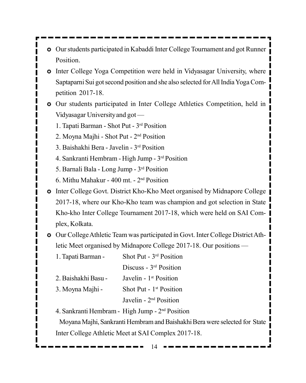- Our students participated in Kabaddi Inter College Tournament and got Runner Position.
- Inter College Yoga Competition were held in Vidyasagar University, where Saptaparni Sui got second position and she also selected for All India Yoga Competition 2017-18.
- Our students participated in Inter College Athletics Competition, held in Vidyasagar University and got —
	- 1. Tapati Barman Shot Put 3rd Position
	- 2. Moyna Majhi Shot Put 2nd Position
	- 3. Baishakhi Bera Javelin 3rd Position
	- 4. Sankranti Hembram High Jump 3rd Position
	- 5. Barnali Bala Long Jump 3rd Position
	- 6. Mithu Mahakur 400 mt. 2nd Position
- **•** Inter College Govt. District Kho-Kho Meet organised by Midnapore College 2017-18, where our Kho-Kho team was champion and got selection in State Kho-kho Inter College Tournament 2017-18, which were held on SAI Complex, Kolkata.
- Our College Athletic Team was participated in Govt. Inter College District Athletic Meet organised by Midnapore College 2017-18. Our positions —
	- 1. Tapati Barman Shot Put 3rd Position

Discuss - 3rd Position

2. Baishakhi Basu - Javelin - 1<sup>st</sup> Position 3. Moyna Majhi - Shot Put -  $1<sup>st</sup>$  Position

Javelin - 2nd Position

4. Sankranti Hembram - High Jump - 2nd Position

Moyana Majhi, Sankranti Hembram and Baishakhi Bera were selected for State Inter College Athletic Meet at SAI Complex 2017-18.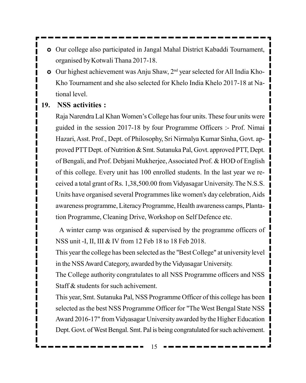- Our college also participated in Jangal Mahal District Kabaddi Tournament, organised by Kotwali Thana 2017-18.
- Our highest achievement was Anju Shaw, 2nd year selected for All India Kho-Kho Tournament and she also selected for Khelo India Khelo 2017-18 at National level.

### **19. NSS activities :**

Raja Narendra Lal Khan Women's College has four units. These four units were guided in the session 2017-18 by four Programme Officers :- Prof. Nimai Hazari, Asst. Prof., Dept. of Philosophy, Sri Nirmalya Kumar Sinha, Govt. approved PTT Dept. of Nutrition & Smt. Sutanuka Pal, Govt. approved PTT, Dept. of Bengali, and Prof. Debjani Mukherjee, Associated Prof. & HOD of English of this college. Every unit has 100 enrolled students. In the last year we received a total grant of Rs. 1,38,500.00 from Vidyasagar University. The N.S.S. Units have organised several Programmes like women's day celebration, Aids awareness programme, Literacy Programme, Health awareness camps, Plantation Programme, Cleaning Drive, Workshop on Self Defence etc.

A winter camp was organised  $\&$  supervised by the programme officers of NSS unit -I, II, III & IV from 12 Feb 18 to 18 Feb 2018.

This year the college has been selected as the "Best College" at university level in the NSS Award Category, awarded by the Vidyasagar University.

The College authority congratulates to all NSS Programme officers and NSS Staff & students for such achivement.

This year, Smt. Sutanuka Pal, NSS Programme Officer of this college has been selected as the best NSS Programme Officer for "The West Bengal State NSS Award 2016-17" from Vidyasagar University awarded by the Higher Education Dept. Govt. of West Bengal. Smt. Pal is being congratulated for such achivement.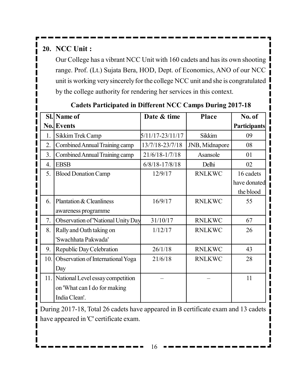# **20. NCC Unit :**

Our College has a vibrant NCC Unit with 160 cadets and has its own shooting range. Prof. (Lt.) Sujata Bera, HOD, Dept. of Economics, ANO of our NCC unit is working very sincerely for the college NCC unit and she is congratulated by the college authority for rendering her services in this context.

|                  | Sl. Name of                          | Date & time        | <b>Place</b>   | No. of              |
|------------------|--------------------------------------|--------------------|----------------|---------------------|
|                  | <b>No. Events</b>                    |                    |                | <b>Participants</b> |
| 1.               | Sikkim Trek Camp                     | 5/11/17-23/11/17   | Sikkim         | 09                  |
| 2.               | Combined Annual Training camp        | 13/7/18-23/7/18    | JNB, Midnapore | 08                  |
| 3.               | Combined Annual Training camp        | 21/6/18-1/7/18     | Asansole       | 01                  |
| $\overline{4}$ . | <b>EBSB</b>                          | $6/8/18 - 17/8/18$ | Delhi          | 02                  |
| 5.               | <b>Blood Donation Camp</b>           | 12/9/17            | <b>RNLKWC</b>  | 16 cadets           |
|                  |                                      |                    |                | have donated        |
|                  |                                      |                    |                | the blood           |
| 6                | Plantation & Cleanliness             | 16/9/17            | <b>RNLKWC</b>  | 55                  |
|                  | awareness programme                  |                    |                |                     |
| 7.               | Observation of 'National Unity Day   | 31/10/17           | <b>RNLKWC</b>  | 67                  |
| 8.               | Rally and Oath taking on             | 1/12/17            | <b>RNLKWC</b>  | 26                  |
|                  | 'Swachhata Pakwada'                  |                    |                |                     |
| 9.               | Republic Day Celebration             | 26/1/18            | <b>RNLKWC</b>  | 43                  |
| 10.1             | Observation of International Yoga    | 21/6/18            | <b>RNLKWC</b>  | 28                  |
|                  | Day                                  |                    |                |                     |
|                  | 11. National Level essay competition |                    |                | 11                  |
|                  | on 'What can I do for making         |                    |                |                     |
|                  | India Clean'.                        |                    |                |                     |

### **Cadets Participated in Different NCC Camps During 2017-18**

During 2017-18, Total 26 cadets have appeared in B certificate exam and 13 cadets have appeared in 'C' certificate exam.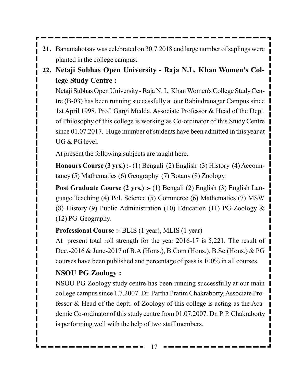- **21.** Banamahotsav was celebrated on 30.7.2018 and large number of saplings were planted in the college campus.
- **22. Netaji Subhas Open University Raja N.L. Khan Women's College Study Centre :**

Netaji Subhas Open University - Raja N. L. Khan Women's College Study Centre (B-03) has been running successfully at our Rabindranagar Campus since 1st April 1998. Prof. Gargi Medda, Associate Professor & Head of the Dept. of Philosophy of this college is working as Co-ordinator of this Study Centre since 01.07.2017. Huge mumber of students have been admitted in this year at UG & PG level.

At present the following subjects are taught here.

**Honours Course (3 yrs.) :- (1) Bengali (2) English (3) History (4) Accoun**tancy (5) Mathematics (6) Geography (7) Botany (8) Zoology.

**Post Graduate Course (2 yrs.) :- (1) Bengali (2) English (3) English Lan**guage Teaching (4) Pol. Science (5) Commerce (6) Mathematics (7) MSW (8) History (9) Public Administration (10) Education (11) PG-Zoology & (12) PG-Geography.

### **Professional Course :-** BLIS (1 year), MLIS (1 year)

At present total roll strength for the year 2016-17 is 5,221. The result of Dec.-2016 & June-2017 of B.A (Hons.), B.Com (Hons.), B.Sc.(Hons.) & PG courses have been published and percentage of pass is 100% in all courses.

### **NSOU PG Zoology :**

NSOU PG Zoology study centre has been running successfully at our main college campus since 1.7.2007. Dr. Partha Pratim Chakraborty, Associate Professor & Head of the deptt. of Zoology of this college is acting as the Academic Co-ordinator of this study centre from 01.07.2007. Dr. P. P. Chakraborty is performing well with the help of two staff members.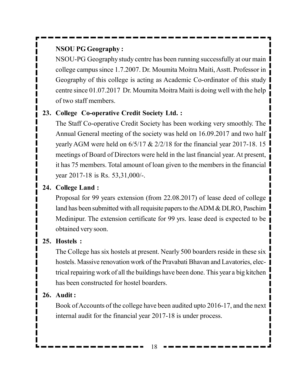### **NSOU PG Geography :**

NSOU-PG Geography study centre has been running successfully at our main college campus since 1.7.2007. Dr. Moumita Moitra Maiti, Asstt. Professor in Geography of this college is acting as Academic Co-ordinator of this study centre since 01.07.2017 Dr. Moumita Moitra Maiti is doing well with the help of two staff members.

### **23. College Co-operative Credit Society Ltd. :**

The Staff Co-operative Credit Society has been working very smoothly. The Annual General meeting of the society was held on 16.09.2017 and two half yearly AGM were held on 6/5/17 & 2/2/18 for the financial year 2017-18. 15 meetings of Board of Directors were held in the last financial year. At present, it has 75 members. Total amount of loan given to the members in the financial year 2017-18 is Rs. 53,31,000/-.

### **24. College Land :**

Proposal for 99 years extension (from 22.08.2017) of lease deed of college land has been submitted with all requisite papers to the ADM & DLRO, Paschim Medinipur. The extension certificate for 99 yrs. lease deed is expected to be obtained very soon.

### **25. Hostels :**

The College has six hostels at present. Nearly 500 boarders reside in these six hostels. Massive renovation work of the Pravabati Bhavan and Lavatories, electrical repairing work of all the buildings have been done. This year a big kitchen has been constructed for hostel boarders.

### **26. Audit :**

Book of Accounts of the college have been audited upto 2016-17, and the next internal audit for the financial year 2017-18 is under process.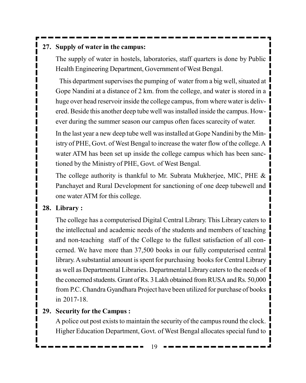### **27. Supply of water in the campus:**

The supply of water in hostels, laboratories, staff quarters is done by Public Health Engineering Department, Government of West Bengal.

This department supervises the pumping of water from a big well, situated at Gope Nandini at a distance of 2 km. from the college, and water is stored in a huge over head reservoir inside the college campus, from where water is delivered. Beside this another deep tube well was installed inside the campus. However during the summer season our campus often faces scarecity of water.

In the last year a new deep tube well was installed at Gope Nandini by the Ministry of PHE, Govt. of West Bengal to increase the water flow of the college. A water ATM has been set up inside the college campus which has been sanctioned by the Ministry of PHE, Govt. of West Bengal.

The college authority is thankful to Mr. Subrata Mukherjee, MIC, PHE & Panchayet and Rural Development for sanctioning of one deep tubewell and one water ATM for this college.

#### **28. Library :**

The college has a computerised Digital Central Library. This Library caters to the intellectual and academic needs of the students and members of teaching and non-teaching staff of the College to the fullest satisfaction of all concerned. We have more than 37,500 books in our fully computerised central library. A substantial amount is spent for purchasing books for Central Library as well as Departmental Libraries. Departmental Library caters to the needs of the concerned students. Grant of Rs. 3 Lakh obtained from RUSA and Rs. 50,000 from P.C. Chandra Gyandhara Project have been utilized for purchase of books in 2017-18.

### **29. Security for the Campus :**

A police out post exists to maintain the security of the campus round the clock. Higher Education Department, Govt. of West Bengal allocates special fund to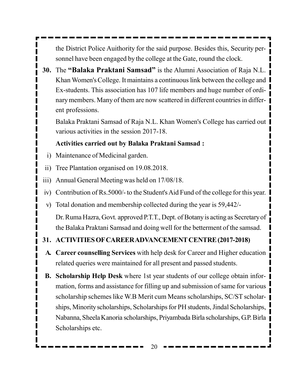the District Police Auithority for the said purpose. Besides this, Security personnel have been engaged by the college at the Gate, round the clock.

**30.** The **"Balaka Praktani Samsad"** is the Alumni Association of Raja N.L. Khan Women's College. It maintains a continuous link between the college and Ex-students. This association has 107 life members and huge number of ordinary members. Many of them are now scattered in different countries in different professions.

Balaka Praktani Samsad of Raja N.L. Khan Women's College has carried out various activities in the session 2017-18.

### **Activities carried out by Balaka Praktani Samsad :**

- i) Maintenance of Medicinal garden.
- ii) Tree Plantation organised on 19.08.2018.
- iii) Annual General Meeting was held on 17/08/18.
- iv) Contribution of Rs.5000/- to the Student's Aid Fund of the college for this year.
- v) Total donation and membership collected during the year is 59,442/-

Dr. Ruma Hazra, Govt. approved P.T.T., Dept. of Botany is acting as Secretary of the Balaka Praktani Samsad and doing well for the betterment of the samsad.

### **31. ACTIVITIES OF CAREER ADVANCEMENT CENTRE (2017-2018)**

- **A. Career counselling Services** with help desk for Career and Higher education related queries were maintained for all present and passed students.
- **B. Scholarship Help Desk** where 1st year students of our college obtain information, forms and assistance for filling up and submission of same for various scholarship schemes like W.B Merit cum Means scholarships, SC/ST scholarships, Minority scholarships, Scholarships for PH students, Jindal Scholarships, Nabanna, Sheela Kanoria scholarships, Priyambada Birla scholarships, G.P. Birla Scholarships etc.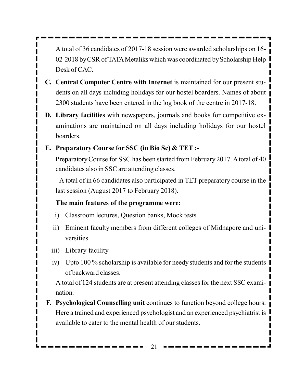A total of 36 candidates of 2017-18 session were awarded scholarships on 16- 02-2018 by CSR of TATA Metaliks which was coordinated by Scholarship Help Desk of CAC.

- **C. Central Computer Centre with Internet** is maintained for our present students on all days including holidays for our hostel boarders. Names of about 2300 students have been entered in the log book of the centre in 2017-18.
- **D. Library facilities** with newspapers, journals and books for competitive examinations are maintained on all days including holidays for our hostel boarders.

### **E. Preparatory Course for SSC (in Bio Sc) & TET :-**

Preparatory Course for SSC has been started from February 2017. A total of 40 candidates also in SSC are attending classes.

A total of in 66 candidates also participated in TET preparatory course in the last session (August 2017 to February 2018).

### **The main features of the programme were:**

- i) Classroom lectures, Question banks, Mock tests
- ii) Eminent faculty members from different colleges of Midnapore and universities.
- iii) Library facility
- iv) Upto 100 % scholarship is available for needy students and for the students of backward classes.

A total of 124 students are at present attending classes for the next SSC examination.

**F. Psychological Counselling unit** continues to function beyond college hours. Here a trained and experienced psychologist and an experienced psychiatrist is available to cater to the mental health of our students.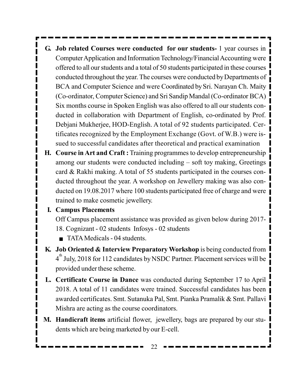- **G. Job related Courses were conducted for our students-** 1 year courses in Computer Application and Information Technology/Financial Accounting were offered to all our students and a total of 50 students participated in these courses conducted throughout the year. The courses were conducted by Departments of BCA and Computer Science and were Coordinated by Sri. Narayan Ch. Maity (Co-ordinator, Computer Science) and Sri Sandip Mandal (Co-ordinator BCA) Six months course in Spoken English was also offered to all our students conducted in collaboration with Department of English, co-ordinated by Prof. Debjani Mukherjee, HOD-English. A total of 92 students participated. Certificates recognized by the Employment Exchange (Govt. of W.B.) were issued to successful candidates after theoretical and practical examination
- **H. Course in Art and Craft :** Training programmes to develop entrepreneurship among our students were conducted including – soft toy making, Greetings card & Rakhi making. A total of 55 students participated in the courses conducted throughout the year. A workshop on Jewellery making was also conducted on 19.08.2017 where 100 students participated free of charge and were trained to make cosmetic jewellery.

#### **I. Campus Placements**

Off Campus placement assistance was provided as given below during 2017- 18. Cognizant - 02 students Infosys - 02 students

- TATA Medicals 04 students.
- **K. Job Oriented & Interview Preparatory Workshop** is being conducted from  $4<sup>th</sup>$  July, 2018 for 112 candidates by NSDC Partner. Placement services will be provided under these scheme.
- **L. Certificate Course in Dance** was conducted during September 17 to April 2018. A total of 11 candidates were trained. Successful candidates has been awarded certificates. Smt. Sutanuka Pal, Smt. Pianka Pramalik & Smt. Pallavi Mishra are acting as the course coordinators.
- **M. Handicraft items** artificial flower, jewellery, bags are prepared by our students which are being marketed by our E-cell.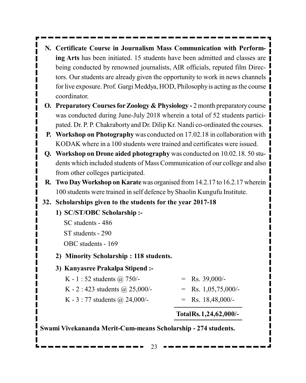- **N. Certificate Course in Journalism Mass Communication with Performing Arts** has been initiated. 15 students have been admitted and classes are being conducted by renowned journalists, AIR officials, reputed film Directors. Our students are already given the opportunity to work in news channels for live exposure. Prof. Gargi Meddya, HOD, Philosophy is acting as the course coordinator.
- **O. Preparatory Courses for Zoology & Physiology -** 2 month preparatory course was conducted during June-July 2018 wherein a total of 52 students participated. Dr. P. P. Chakraborty and Dr. Dilip Kr. Nandi co-ordinated the courses.
- **P. Workshop on Photography** was conducted on 17.02.18 in collaboration with KODAK where in a 100 students were trained and certificates were issued.
- **Q. Workshop on Drone aided photography** was conducted on 10.02.18. 50 students which included students of Mass Communication of our college and also from other colleges participated.
- **R. Two Day Workshop on Karate** was organised from 14.2.17 to 16.2.17 wherein 100 students were trained in self defence by Shaolin Kungufu Institute.

### **32. Scholarships given to the students for the year 2017-18**

### **1) SC/ST/OBC Scholarship :-**

- SC students 486
- ST students 290

OBC students - 169

**2) Minority Scholarship : 118 students.**

### **3) Kanyasree Prakalpa Stipend :-**

- K 1 : 52 students @ 750/-  $=$  Rs. 39,000/-
- K 2 : 423 students @ 25,000/-  $=$  Rs. 1,05,75,000/-K - 3 : 77 students @ 24,000/-  $=$  Rs. 18,48,000/-

### **TotalRs.1,24,62,000/-**

**Swami Vivekananda Merit-Cum-means Scholarship - 274 students.**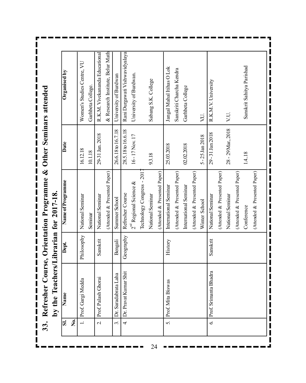Refresher Course, Orientation Programme & Other Seminars attended **33. Refresher Course, Orientation Programme & Other Seminars attended** by the Teachers/Librarian for 2017-18. **by the Teachers/Librarian for 2017-18.** 33.

& Research Institute, Belur Math Rani Durgawati Vishwavidyalaya R.K.M. Vivekananda Educational 2. Prof. Palash Ghorai Sanskrit National Seminar 29-31 Jan. 2018 R.K.M. Vivekananda Educational (Attended & Presented Paper) & Research Institute, Belur Math 4. Dr. Pravat Kumar Shit Geography Refresher Course 28.5.18 to 16.6.18 Rani Durgawati Vishwavidyalaya Women's Studies Centre, VU 1. |Prof. Gargi Medda Philosophy | National Seminar 16.12.18 Women's Studies Centre, VU Sanskrit Sahitya Parishad Jangal Mahal Itihas O Lok Conference 1.4..18 Sanskrit Sahitya Parishad 5. Prof. Mita Biswas History International Seminar 25.03.2018 Jangal Mahal Itihas O Lok Sanskriti Charcha Kendra (Attended & Presented Paper) Sanskriti Charcha Kendra Organised by **Sl. Name Dept. Name of Programme Date Organised by** University of Burdwan  $2^{nd}$  Regional Science & 16-17 Nov. 17 University of Burdwan. University of Burdwan. 3. Dr. Saradabrata Laha Bengali Summer School 26.6.18 to 16.7.18 University of Burdwan Sabang S.K. College National Seminar 9.3.18 Sabang S.K. College R.K.M.V. University 6. Prof. Srimanta Bhadra Sanskrit National Seminar 29 - 31 Jan 2018 R.K.M.V. University Garhbeta College. Seminar 10.1.18 Garhbeta College. Garhbeta College International Seminar 02.02.2018 Garhbeta College V.U. VU. National Seminar 28 - 29 Mar., 2018 | V.U. Winter School  $5 - 25$  Jan 2018  $\blacksquare$ 26.6.18 to 16.7.18 28.5.18 to 16.6.18 28 - 29 Mar., 2018 29-31 Jan 2018 29-31 Jan. 2018 16-17 Nov. 17 5-25Jan 2018 Date 25.03.2018 02.02.2018 16.12.18 10.1.18 1.4.18 9.3.18 Technology Congress - 2017 (Attended & Presented Paper) (Attended & Presented Paper) (Attended & Presented Paper) (Attended & Presented Paper) (Attended & Presented Paper) (Attended & Presented Paper) (Attended & Presented Paper) (Attended & Presented Paper) (Attended & Presented Paper) (Attended & Presented Paper) (Attended & Presented Paper) (Attended & Presented Paper)Technology Congress - 201 Name of Programme  $2^{nd}$  Regional Science  $\&$ International Seminar International Seminar Refresher Course National Seminar National Seminar National Seminar National Seminar National Seminar Summer School Winter School Conference Seminar Philosophy Geography Bengali Sanskrit History Г Sanskrit Dept. Prof. Srimanta Bhadra Dr. Pravat Kumar Shit Dr. Saradabrata Laha Prof. Palash Ghorai Prof. Gargi Medda Prof. Mita Biswas Name  $\overline{1}$  $\overline{\mathbf{3}}$ .  $\overline{\mathbf{s}}$ **No.**  $\overline{c}$  $\overline{4}$ 5.  $\infty$  $\blacksquare$ 

24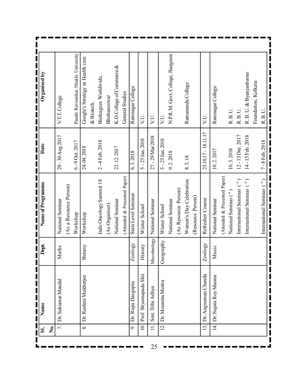| Organised by         | V.T.T. College     | Pandit Ravisankar Shukla University | Google's Strategy in Health care | & Biotech. | Bioleagues Worldwide,   | Bhubaneswar    | K.D.College of Commerce & | General Studies              | Ramnagar College    | VU.                   | VU.              | VU.                | N.P.R.M. Govt. College, Jhargram |                      | Ramananda College       |                   | VU.                 | Ramnagar College     |                              | R.B.U.                          | R.B.U.                    | R. B. U. & Byanjanbarno   | Foundation, Kolkata |                           |
|----------------------|--------------------|-------------------------------------|----------------------------------|------------|-------------------------|----------------|---------------------------|------------------------------|---------------------|-----------------------|------------------|--------------------|----------------------------------|----------------------|-------------------------|-------------------|---------------------|----------------------|------------------------------|---------------------------------|---------------------------|---------------------------|---------------------|---------------------------|
| Date                 | 29 - 30 Aug 2017   | 6-9 Oct. 2017                       | 24.04.2018                       |            | 2-4 Feb. 2018           |                | 22.12.2017                |                              | 6.3.2018            | 5 - 25 Jan. 2018      | 27 - 29 Mar 2018 | 5 - 25 Jan. 2018   | 9.2.2018                         |                      | 8.3.18                  |                   | 25.10.17 - 18.11.17 | 10.2.2017            |                              | 10.3.2018                       | 12-13 Dec. 2017           | 14-15 Feb. 2018           |                     | $7 - 8$ Feb. $2018$       |
| Name of Programme    | National Seminar   | (As a Resource Person)<br>Workshop  | Workshop                         |            | Indo Oncology Summit 18 | (As Organiser) | National Seminar          | (Attended & Presented Paper) | State Level Seminar | Winter School         | National Seminar | Winter School      | National Seminar                 | (As Resource Person) | Women's Day Celebration | (Resource Person) | Refresher Course    | National Seminar     | (Attended & Presented Paper) | National Seminar <sup>(")</sup> | International Seminar (") | International Seminar (") |                     | International Seminar (") |
| <b>Dept.</b>         | Maths              |                                     | Botany                           |            |                         |                |                           |                              | Zoology             | History               | Microbiology     | Geography          |                                  |                      |                         |                   | Zoology             | Music                |                              |                                 |                           |                           |                     |                           |
| Name                 | Dr. Sukumar Mandal |                                     | Dr. Rashmi Mukherjee             |            |                         |                |                           |                              | Dr. Rupa Dasgupta   | Prof. Shyamapada Shit | Smt. Tithi Adhya | Dr. Moumita Moitra |                                  |                      |                         |                   | Dr. Angsuman Chanda | Dr. Sujata Roy Manna |                              |                                 |                           |                           |                     |                           |
| فع<br>ا<br><u>si</u> | $\overline{r}$     |                                     | $\infty$                         |            |                         |                |                           |                              | 9.                  | $\overline{a}$        | $\equiv$         | $\overline{2}$     |                                  |                      |                         |                   | 13.                 | $\overline{4}$       |                              |                                 |                           |                           |                     |                           |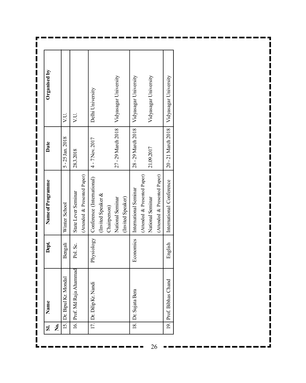| <u>รี่</u> | Name                      | Dept.      | Name of Programme            | Date                 | Organised by          |
|------------|---------------------------|------------|------------------------------|----------------------|-----------------------|
| Ź          |                           |            |                              |                      |                       |
| 15.        | Dr. Bipul Kr. Mondal      | Bengali    | Winter School                | $5 - 25$ Jan. $2018$ | VU.                   |
|            | 16. Prof. Md Raja Ahammad | Pol. Sc.   | State Lever Seminar          | 28.3.2018            | VU.                   |
|            |                           |            | (Attended & Presented Paper) |                      |                       |
|            | 17. Dr. Dilip Kr. Nandi   | Physiology | Conference (International)   | 4 - 7 Nov. 2017      | Delhi University      |
|            |                           |            | (Invited Speaker &           |                      |                       |
|            |                           |            | Chairperson)                 |                      |                       |
|            |                           |            | National Seminar             | 27 - 29 March 2018   | Vidyasagar University |
|            |                           |            | (Invited Speaker)            |                      |                       |
|            | 18. Dr. Sujata Bera       | Economics  | International Seminar        | 28 - 29 March 2018   | Vidyasagar University |
|            |                           |            | (Attended & Presented Paper) |                      |                       |
|            |                           |            | National Seminar             | 21.09.2017           | Vidyasagar University |
|            |                           |            | (Attended & Presented Paper) |                      |                       |
|            | 19. Prof. Bibhas Chand    | English    | International Conference     | 20 - 21 March 2018   | Vidyasagar University |

26

 $\blacksquare$  .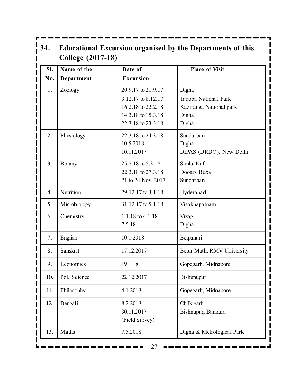| 34.                            | <b>College (2017-18)</b> |                                                                                                            | <b>Educational Excursion organised by the Departments of this</b>          |
|--------------------------------|--------------------------|------------------------------------------------------------------------------------------------------------|----------------------------------------------------------------------------|
| SI.<br>I                       | Name of the              | Date of                                                                                                    | <b>Place of Visit</b>                                                      |
| No.                            | Department               | <b>Excursion</b>                                                                                           |                                                                            |
| 1.<br>$\blacksquare$<br>I<br>I | Zoology                  | 20.9.17 to 21.9.17<br>3.12.17 to 8.12.17<br>16.2.18 to 22.2.18<br>14.3.18 to 15.3.18<br>22.3.18 to 23.3.18 | Digha<br>Tadoba National Park<br>Kaziranga National park<br>Digha<br>Digha |
| I<br>2.<br>$\mathbf{I}$        | Physiology               | 22.3.18 to 24.3.18<br>10.5.2018<br>10.11.2017                                                              | Sundarban<br>Digha<br>DIPAS (DRDO), New Delhi                              |
| I<br>3.<br>I<br>l<br>I         | Botany                   | 25.2.18 to 5.3.18<br>22.3.18 to 27.3.18<br>21 to 24 Nov. 2017                                              | Simla, Kufri<br>Dooars Buxa<br>Sundarban                                   |
| I<br>4.                        | Nutrition                | 29.12.17 to 3.1.18                                                                                         | Hyderabad                                                                  |
| 5.                             | Microbiology             | 31.12.17 to 5.1.18                                                                                         | Visakhapatnam                                                              |
| l<br>I<br>6.<br>I              | Chemistry                | 1.1.18 to 4.1.18<br>7.5.18                                                                                 | Vizag<br>Digha                                                             |
| $\mathbf i$<br>7.              | English                  | 10.1.2018                                                                                                  | Belpahari                                                                  |
| 8.                             | Sanskrit                 | 17.12.2017                                                                                                 | Belur Math, RMV University                                                 |
| 9.                             | Economics                | 19.1.18                                                                                                    | Gopegarh, Midnapore                                                        |
| 10.                            | Pol. Science             | 22.12.2017                                                                                                 | Bishunupur                                                                 |
| 11.                            | Philosophy               | 4.1.2018                                                                                                   | Gopegarh, Midnapore                                                        |
| 12.<br>I<br>I                  | Bengali                  | 8.2.2018<br>30.11.2017<br>(Field Survey)                                                                   | Chilkigarh<br>Bishnupur, Bankura                                           |
| 13.                            | Maths                    | 7.5.2018                                                                                                   | Digha & Metrological Park                                                  |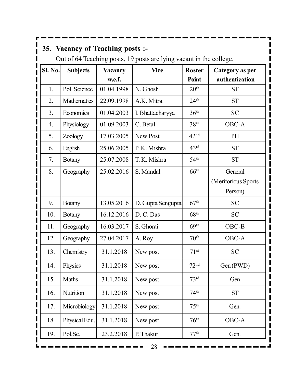# **35. Vacancy of Teaching posts :-**

I

Out of 64 Teaching posts, 19 posts are lying vacant in the college.

| Sl. No. | <b>Subjects</b> | <b>Vacancy</b> | <b>Vice</b>       | <b>Roster</b>    | Category as per     |
|---------|-----------------|----------------|-------------------|------------------|---------------------|
|         |                 | w.e.f.         |                   | Point            | authentication      |
| 1.      | Pol. Science    | 01.04.1998     | N. Ghosh          | 20 <sup>th</sup> | <b>ST</b>           |
| 2.      | Mathematics     | 22.09.1998     | A.K. Mitra        | 24 <sup>th</sup> | <b>ST</b>           |
| 3.      | Economics       | 01.04.2003     | I. Bhattacharyya  | 36 <sup>th</sup> | <b>SC</b>           |
| 4.      | Physiology      | 01.09.2003     | C. Betal          | 38 <sup>th</sup> | OBC-A               |
| 5.      | Zoology         | 17.03.2005     | New Post          | 42 <sup>nd</sup> | PH                  |
| 6.      | English         | 25.06.2005     | P. K. Mishra      | 43 <sup>rd</sup> | <b>ST</b>           |
| 7.      | <b>Botany</b>   | 25.07.2008     | T. K. Mishra      | 54 <sup>th</sup> | <b>ST</b>           |
| 8.      | Geography       | 25.02.2016     | S. Mandal         | 66 <sup>th</sup> | General             |
|         |                 |                |                   |                  | (Meritorious Sports |
|         |                 |                |                   |                  | Person)             |
| 9.      | <b>Botany</b>   | 13.05.2016     | D. Gupta Sengupta | 67 <sup>th</sup> | <b>SC</b>           |
| 10.     | <b>Botany</b>   | 16.12.2016     | D. C. Das         | 68 <sup>th</sup> | <b>SC</b>           |
| 11.     | Geography       | 16.03.2017     | S. Ghorai         | 69 <sup>th</sup> | OBC-B               |
| 12.     | Geography       | 27.04.2017     | A. Roy            | 70 <sup>th</sup> | OBC-A               |
| 13.     | Chemistry       | 31.1.2018      | New post          | 71 <sup>st</sup> | <b>SC</b>           |
| 14.     | Physics         | 31.1.2018      | New post          | 72 <sup>nd</sup> | Gen (PWD)           |
| 15.     | Maths           | 31.1.2018      | New post          | 73 <sup>rd</sup> | Gen                 |
| 16.     | Nutrition       | 31.1.2018      | New post          | 74 <sup>th</sup> | <b>ST</b>           |
| 17.     | Microbiology    | 31.1.2018      | New post          | 75 <sup>th</sup> | Gen.                |
| 18.     | Physical Edu.   | 31.1.2018      | New post          | 76 <sup>th</sup> | OBC-A               |
| 19.     | Pol.Sc.         | 23.2.2018      | P. Thakur         | 77 <sup>th</sup> | Gen.                |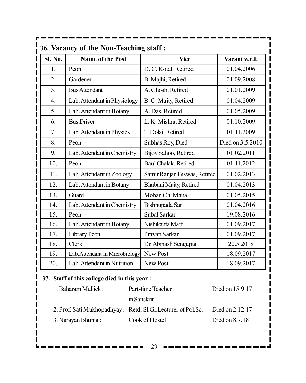| <b>Sl. No.</b>   | <b>Name of the Post</b>        | <b>Vice</b>                  | Vacant w.e.f.    |
|------------------|--------------------------------|------------------------------|------------------|
| 1.               | Peon                           | D. C. Kotal, Retired         | 01.04.2006       |
| 2.               | Gardener                       | B. Majhi, Retired            | 01.09.2008       |
| 3 <sub>1</sub>   | <b>Bus Attendant</b>           | A. Ghosh, Retired            | 01.01.2009       |
| $\overline{4}$ . | Lab. Attendant in Physiology   | B. C. Maity, Retired         | 01.04.2009       |
| 5.               | Lab. Attendant in Botany       | A. Das, Retired              | 01.05.2009       |
| 6.               | <b>Bus Driver</b>              | L. K. Mishra, Retired        | 01.10.2009       |
| 7.               | Lab. Attendant in Physics      | T. Dolai, Retired            | 01.11.2009       |
| 8.               | Peon                           | Subhas Roy, Died             | Died on 3.5.2010 |
| 9.               | Lab. Attendant in Chemistry    | Bijoy Sahoo, Retired         | 01.02.2011       |
| 10.              | Peon                           | Baul Chalak, Retired         | 01.11.2012       |
| 11.              | Lab. Attendant in Zoology      | Samir Ranjan Biswas, Retired | 01.02.2013       |
| 12.              | Lab. Attendant in Botany       | Bhabani Maity, Retired       | 01.04.2013       |
| 13.              | Guard                          | Mohan Ch. Mana               | 01.05.2015       |
| 14.              | Lab. Attendant in Chemistry    | Bishnupada Sar               | 01.04.2016       |
| 15.              | Peon                           | Subal Sarkar                 | 19.08.2016       |
| 16.              | Lab. Attendant in Botany       | Nishikanta Maiti             | 01.09.2017       |
| 17.              | Library Peon                   | Pravati Sarkar               | 01.09.2017       |
| 18.              | Clerk                          | Dr. Abinash Sengupta         | 20.5.2018        |
| 19.              | Lab. Attendant in Microbiology | New Post                     | 18.09.2017       |
| 20.              | Lab. Attendant in Nutrition    | <b>New Post</b>              | 18.09.2017       |

# **37. Staff of this college died in this year :**

| 1. Baharam Mallick: | Part-time Teacher                                            | Died on 15.9.17 |
|---------------------|--------------------------------------------------------------|-----------------|
|                     | in Sanskrit                                                  |                 |
|                     | 2. Prof. Sati Mukhopadhyay: Retd. Sl.Gr. Lecturer of Pol.Sc. | Died on 2.12.17 |
| 3. Narayan Bhunia : | Cook of Hostel                                               | Died on 8.7.18  |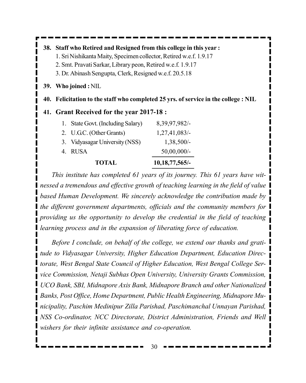**38. Staff who Retired and Resigned from this college in this year :** 1. Sri Nishikanta Maity, Specimen collector, Retired w.e.f. 1.9.17 2. Smt. Pravati Sarkar, Library peon, Retired w.e.f. 1.9.17 3. Dr. Abinash Sengupta, Clerk, Resigned w.e.f. 20.5.18 **39. Who joined :** NIL **40. Felicitation to the staff who completed 25 yrs. of service in the college : NIL 41. Grant Received for the year 2017-18 :** 1. State Govt. (Including Salary) 8,39,97,982/- 2. U.G.C. (Other Grants) 1,27,41,083/- 3. Vidyasagar University (NSS) 1,38,500/- 4. RUSA 50,00,000/- **TOTAL 10,18,77,565/-**

*This institute has completed 61 years of its journey. This 61 years have witnessed a tremendous and effective growth of teaching learning in the field of value based Human Development. We sincerely acknowledge the contribution made by the different government departments, officials and the community members for providing us the opportunity to develop the credential in the field of teaching learning process and in the expansion of liberating force of education.*

*Before I conclude, on behalf of the college, we extend our thanks and gratitude to Vidyasagar University, Higher Education Department, Education Directorate, West Bengal State Council of Higher Education, West Bengal College Service Commission, Netaji Subhas Open University, University Grants Commission, UCO Bank, SBI, Midnapore Axis Bank, Midnapore Branch and other Nationalized Banks, Post Office, Home Department, Public Health Engineering, Midnapore Municipality, Paschim Medinipur Zilla Parishad, Paschimanchal Unnayan Parishad, NSS Co-ordinator, NCC Directorate, District Administration, Friends and Well wishers for their infinite assistance and co-operation.*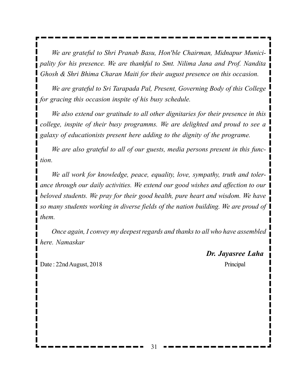*We are grateful to Shri Pranab Basu, Hon'ble Chairman, Midnapur Municipality for his presence. We are thankful to Smt. Nilima Jana and Prof. Nandita Ghosh & Shri Bhima Charan Maiti for their august presence on this occasion.*

*We are grateful to Sri Tarapada Pal, Present, Governing Body of this College for gracing this occasion inspite of his busy schedule.*

*We also extend our gratitude to all other dignitaries for their presence in this college, inspite of their busy programms. We are delighted and proud to see a galaxy of educationists present here adding to the dignity of the programe.*

*We are also grateful to all of our guests, media persons present in this function.*

*We all work for knowledge, peace, equality, love, sympathy, truth and tolerance through our daily activities. We extend our good wishes and affection to our beloved students. We pray for their good health, pure heart and wisdom. We have so many students working in diverse fields of the nation building. We are proud of them.*

*Once again, I convey my deepest regards and thanks to all who have assembled here. Namaskar*

*Dr. Jayasree Laha*

Date : 22nd August, 2018 Principal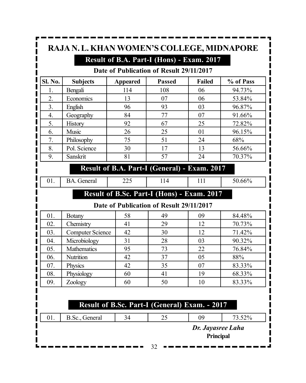|         | RAJA N. L. KHAN WOMEN'S COLLEGE, MIDNAPORE | Result of B.A. Part-I (Hons) - Exam. 2017<br>Date of Publication of Result 29/11/2017 |               |               |           |
|---------|--------------------------------------------|---------------------------------------------------------------------------------------|---------------|---------------|-----------|
| Sl. No. | <b>Subjects</b>                            | <b>Appeared</b>                                                                       | <b>Passed</b> | <b>Failed</b> | % of Pass |
| 1.      | Bengali                                    | 114                                                                                   | 108           | 06            | 94.73%    |
| 2.      | Economics                                  | 13                                                                                    | 07            | 06            | 53.84%    |
| 3.      | English                                    | 96                                                                                    | 93            | 03            | 96.87%    |
| 4.      | Geography                                  | 84                                                                                    | 77            | 07            | 91.66%    |
| 5.      | <b>History</b>                             | 92                                                                                    | 67            | 25            | 72.82%    |
| 6.      | Music                                      | 26                                                                                    | 25            | 01            | 96.15%    |
| 7.      | Philosophy                                 | 75                                                                                    | 51            | 24            | 68%       |
| 8.      | Pol. Science                               | 30                                                                                    | 17            | 13            | 56.66%    |
| 9.      | Sanskrit                                   | 81                                                                                    | 57            | 24            | 70.37%    |

#### **Result of B.A. Part-I (General) - Exam. 2017**

01. BA. General 225 114 111 50.66%

### **Result of B.Sc. Part-I (Hons) - Exam. 2017**

#### **Date of Publication of Result 29/11/2017**

| 01. | <b>Botany</b>           | 58 | 49 | 09 | 84.48% |
|-----|-------------------------|----|----|----|--------|
| 02. | Chemistry               | 41 | 29 | 12 | 70.73% |
| 03. | <b>Computer Science</b> | 42 | 30 | 12 | 71.42% |
| 04. | Microbiology            | 31 | 28 | 03 | 90.32% |
| 05. | Mathematics             | 95 | 73 | 22 | 76.84% |
| 06. | Nutrition               | 42 | 37 | 05 | 88%    |
| 07. | Physics                 | 42 | 35 | 07 | 83.33% |
| 08. | Physiology              | 60 | 41 | 19 | 68.33% |
| 09. | Zoology                 | 60 | 50 | 10 | 83.33% |

### **Result of B.Sc. Part-I (General) Exam. - 2017**

01. B.Sc., General 34 25 09 73.52%

*Dr. Jayasree Laha*

**Principal**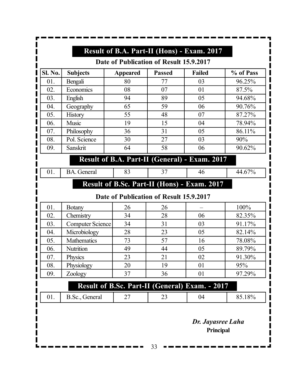|     | <b>Subjects</b>         | <b>Appeared</b> | <b>Passed</b>                           | <b>Failed</b>                                  | % of Pass |
|-----|-------------------------|-----------------|-----------------------------------------|------------------------------------------------|-----------|
| 01. | Bengali                 | 80              | 77                                      | 03                                             | 96.25%    |
| 02. | Economics               | 08              | 07                                      | 01                                             | 87.5%     |
| 03. | English                 | 94              | 89                                      | 05                                             | 94.68%    |
| 04. | Geography               | 65              | 59                                      | 06                                             | 90.76%    |
| 05. | History                 | 55              | 48                                      | 07                                             | 87.27%    |
| 06. | Music                   | 19              | 15                                      | 04                                             | 78.94%    |
| 07. | Philosophy              | 36              | 31                                      | 05                                             | 86.11%    |
| 08. | Pol. Science            | 30              | 27                                      | 03                                             | 90%       |
| 09. | Sanskrit                | 64              | 58                                      | 06                                             | 90.62%    |
|     |                         |                 |                                         | Result of B.A. Part-II (General) - Exam. 2017  |           |
| 01. | <b>BA.</b> General      | 83              | 37                                      | 46                                             | 44.67%    |
|     |                         |                 |                                         | Result of B.Sc. Part-II (Hons) - Exam. 2017    |           |
|     |                         |                 | Date of Publication of Result 15.9.2017 |                                                |           |
| 01. | <b>Botany</b>           | 26              | 26                                      |                                                | 100%      |
| 02. | Chemistry               | 34              | 28                                      | 06                                             | 82.35%    |
| 03. | <b>Computer Science</b> | 34              | 31                                      | 03                                             | 91.17%    |
|     | Microbiology            | 28              | 23                                      | 05                                             | 82.14%    |
| 04. | <b>Mathematics</b>      | 73              | 57                                      | 16                                             | 78.08%    |
| 05. |                         | 49              | 44                                      | 05                                             | 89.79%    |
| 06. | Nutrition               |                 |                                         |                                                | 91.30%    |
| 07. | Physics                 | 23              | 21                                      | 02                                             |           |
| 08. | Physiology              | 20              | 19                                      | 01                                             | 95%       |
| 09. | Zoology                 | 37              | 36                                      | 01                                             | 97.29%    |
|     |                         |                 |                                         | Result of B.Sc. Part-II (General) Exam. - 2017 |           |

 $\blacksquare$ 

П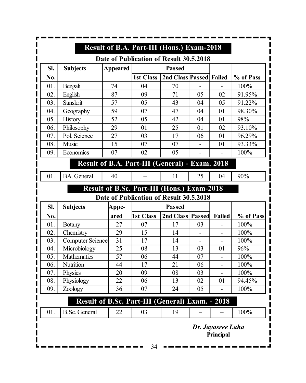|     |                                                 |                 | Result of B.A. Part-III (Hons.) Exam-2018      |                         |    |                                |           |
|-----|-------------------------------------------------|-----------------|------------------------------------------------|-------------------------|----|--------------------------------|-----------|
| SI. |                                                 | <b>Appeared</b> | Date of Publication of Result 30.5.2018        | <b>Passed</b>           |    |                                |           |
| No. | <b>Subjects</b>                                 |                 | 1st Class                                      | 2nd Class Passed Failed |    |                                | % of Pass |
| 01. | Bengali                                         | 74              | 04                                             | 70                      |    |                                | 100%      |
| 02. | English                                         | 87              | 09                                             | 71                      | 05 | 02                             | 91.95%    |
| 03. | Sanskrit                                        | 57              | 05                                             | 43                      | 04 | 05                             | 91.22%    |
| 04. | Geography                                       | 59              | 07                                             | 47                      | 04 | 01                             | 98.30%    |
| 05. | History                                         | 52              | 05                                             | 42                      | 04 | 01                             | 98%       |
| 06. | Philosophy                                      | 29              | 01                                             | 25                      | 01 | 02                             | 93.10%    |
| 07. | Pol. Science                                    | 27              | 03                                             | 17                      | 06 | 01                             | 96.29%    |
| 08. | Music                                           | 15              | 07                                             | 07                      |    | 01                             | 93.33%    |
| 09. | Economics                                       | 07              | 02                                             | 05                      |    |                                | 100%      |
|     |                                                 |                 |                                                |                         |    |                                |           |
|     |                                                 |                 | Result of B.A. Part-III (General) - Exam. 2018 |                         |    |                                |           |
| 01. | <b>BA.</b> General                              | 40              |                                                | 11                      | 25 | 04                             | 90%       |
|     |                                                 |                 | Result of B.Sc. Part-III (Hons.) Exam-2018     |                         |    |                                |           |
|     |                                                 |                 | Date of Publication of Result 30.5.2018        |                         |    |                                |           |
| SI. | <b>Subjects</b>                                 | Appe-           |                                                | <b>Passed</b>           |    |                                |           |
| No. |                                                 | ared            | 1st Class                                      | 2nd Class Passed        |    | Failed                         | % of Pass |
| 01. | <b>Botany</b>                                   | 27              | 07                                             | 17                      | 03 |                                | 100%      |
| 02. | Chemistry                                       | 29              | 15                                             | 14                      |    |                                | 100%      |
| 03. | <b>Computer Science</b>                         | 31              | 17                                             | 14                      |    | $\overline{a}$                 | 100%      |
| 04. | Microbiology                                    | 25              | 08                                             | 13                      | 03 | 01                             | 96%       |
| 05. | <b>Mathematics</b>                              | 57              | 06                                             | 44                      | 07 |                                | 100%      |
| 06. | Nutrition                                       | 44              | 17                                             | 21                      | 06 |                                | 100%      |
| 07. | Physics                                         | 20              | 09                                             | ${\bf 08}$              | 03 |                                | 100%      |
| 08. | Physiology                                      | 22              | 06                                             | 13                      | 02 | 01                             | 94.45%    |
| 09. | Zoology                                         | 36              | 07                                             | 24                      | 05 | -                              | 100%      |
|     | Result of B.Sc. Part-III (General) Exam. - 2018 |                 |                                                |                         |    |                                |           |
| 01. | <b>B.Sc.</b> General                            | 22              | 03                                             | 19                      |    |                                | 100%      |
|     |                                                 |                 | 34                                             |                         |    | Dr. Jayasree Laha<br>Principal |           |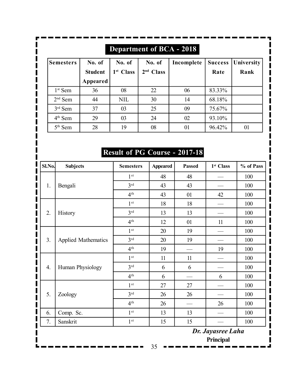|                     |                          |                                 | <b>Department of BCA - 2018</b> |            |                        |                    |
|---------------------|--------------------------|---------------------------------|---------------------------------|------------|------------------------|--------------------|
| <b>Semesters</b>    | No. of<br><b>Student</b> | No. of<br>1 <sup>st</sup> Class | No. of<br>2 <sup>nd</sup> Class | Incomplete | <b>Success</b><br>Rate | University<br>Rank |
|                     | Appeared                 |                                 |                                 |            |                        |                    |
| 1 <sup>st</sup> Sem | 36                       | 08                              | 22                              | 06         | 83.33%                 |                    |
| $2nd$ Sem           | 44                       | <b>NIL</b>                      | 30                              | 14         | 68.18%                 |                    |
| $3rd$ Sem           | 37                       | 03                              | 25                              | 09         | 75.67%                 |                    |
| $4th$ Sem           | 29                       | 03                              | 24                              | 02         | 93.10%                 |                    |
| $5th$ Sem           | 28                       | 19                              | 08                              | 01         | 96.42%                 | 01                 |

# **Result of PG Course - 2017-18**

| Sl.No. | <b>Subjects</b>            | <b>Semesters</b> | <b>Appeared</b> | <b>Passed</b> | 1 <sup>st</sup> Class | % of Pass |
|--------|----------------------------|------------------|-----------------|---------------|-----------------------|-----------|
|        |                            | 1 <sup>st</sup>  | 48              | 48            |                       | 100       |
| 1.     | Bengali                    | 3 <sup>rd</sup>  | 43              | 43            |                       | 100       |
|        |                            | 4 <sup>th</sup>  | 43              | 01            | 42                    | 100       |
|        |                            | 1 <sup>st</sup>  | 18              | 18            |                       | 100       |
| 2.     | History                    | 3 <sup>rd</sup>  | 13              | 13            |                       | 100       |
|        |                            | 4 <sup>th</sup>  | 12              | 01            | 11                    | 100       |
|        |                            | 1 <sup>st</sup>  | 20              | 19            |                       | 100       |
| 3.     | <b>Applied Mathematics</b> | 3rd              | 20              | 19            |                       | 100       |
|        |                            | 4 <sup>th</sup>  | 19              |               | 19                    | 100       |
|        |                            | 1 <sup>st</sup>  | 11              | 11            |                       | 100       |
| 4.     | Human Physiology           | 3 <sup>rd</sup>  | 6               | 6             |                       | 100       |
|        |                            | 4 <sup>th</sup>  | 6               |               | 6                     | 100       |
|        |                            | 1 <sup>st</sup>  | 27              | 27            |                       | 100       |
| 5.     | Zoology                    | 3rd              | 26              | 26            |                       | 100       |
|        |                            | 4 <sup>th</sup>  | 26              |               | 26                    | 100       |
| 6.     | Comp. Sc.                  | 1 <sup>st</sup>  | 13              | 13            |                       | 100       |
| 7.     | Sanskrit                   | 1 <sup>st</sup>  | 15              | 15            |                       | 100       |
|        |                            |                  |                 |               | Dr. Jayasree Laha     |           |
|        |                            |                  |                 |               | Principal             |           |
|        |                            |                  | 35              |               |                       |           |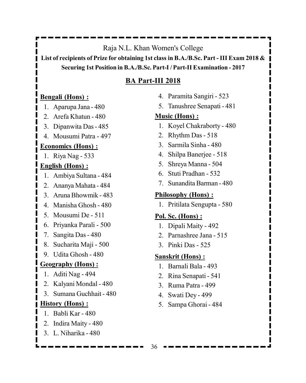#### Raja N.L. Khan Women's College

**List of recipients of Prize for obtaining 1st class in B.A./B.Sc. Part - III Exam 2018 & Securing 1st Position in B.A./B.Sc. Part-I / Part-II Examination - 2017**

#### **BA Part-III 2018**

#### **Bengali (Hons) :**

- 1. Aparupa Jana 480
- 2. Arefa Khatun 480
- 3. Dipanwita Das 485
- 4. Mousumi Patra 497

#### **Economics (Hons) :**

1. Riya Nag - 533

### **English (Hons) :**

- 1. Ambiya Sultana 484
- 2. Ananya Mahata 484
- 3. Aruna Bhowmik 483
- 4. Manisha Ghosh 480
- 5. Mousumi De 511
- 6. Priyanka Parali 500
- 7. Sangita Das 480
- 8. Sucharita Maji 500
- 9. Udita Ghosh 480

#### **Geography (Hons) :**

- 1. Aditi Nag 494
- 2. Kalyani Mondal 480
- 3. Sumana Guchhait 480

#### **History (Hons) :**

- 1. Babli Kar 480
- 2. Indira Maity 480
- 3. L. Niharika 480
- 4. Paramita Sangiri 523
- 5. Tanushree Senapati 481

#### **Music (Hons) :**

- 1. Koyel Chakraborty 480
- 2. Rhythm Das 518
- 3. Sarmila Sinha 480
- 4. Shilpa Banerjee 518
- 5. Shreya Manna 504
- 6. Stuti Pradhan 532
- 7. Sunandita Barman 480

#### **Philosophy (Hons) :**

1. Pritilata Sengupta - 580

#### **Pol. Sc. (Hons) :**

- 1. Dipali Maity 492
- 2. Parnashree Jana 515
- 3. Pinki Das 525

#### **Sanskrit (Hons) :**

- 1. Barnali Bala 493
- 2. Rina Senapati 541
- 3. Ruma Patra 499
- 4. Swati Dey 499
- 5. Sampa Ghorai 484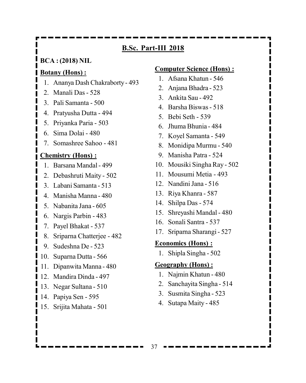### **B.Sc. Part-III 2018**

**BCA : (2018) NIL**

#### **Botany (Hons) :**

- 1. Ananya Dash Chakraborty 493
- 2. Manali Das 528
- 3. Pali Samanta 500
- 4. Pratyusha Dutta 494
- 5. Priyanka Paria 503
- 6. Sima Dolai 480
- 7. Somashree Sahoo 481

### **Chemistry (Hons) :**

I

- 1. Barsana Mandal 499
- 2. Debashruti Maity 502
- 3. Labani Samanta 513
- 4. Manisha Manna 480
- 5. Nabanita Jana 605
- 6. Nargis Parbin 483
- 7. Payel Bhakat 537
- 8. Sriparna Chatterjee 482
- 9. Sudeshna De 523
- 10. Suparna Dutta 566
- 11. Dipanwita Manna 480
- 12. Mandira Dinda 497
- 13. Negar Sultana 510
- 14. Papiya Sen 595
- 15. Srijita Mahata 501

#### **Computer Science (Hons) :**

- 1. Afsana Khatun 546
- 2. Anjana Bhadra 523
- 3. Ankita Sau 492
- 4. Barsha Biswas 518
- 5. Bebi Seth 539
- 6. Jhuma Bhunia 484
- 7. Koyel Samanta 549
- 8. Monidipa Murmu 540
- 9. Manisha Patra 524
- 10. Mousiki Singha Ray 502
- 11. Mousumi Metia 493
- 12. Nandini Jana 516
- 13. Riya Khanra 587
- 14. Shilpa Das 574
- 15. Shreyashi Mandal 480
- 16. Sonali Santra 537
- 17. Sriparna Sharangi 527

### **Economics (Hons) :**

1. Shipla Singha - 502

### **Geography (Hons) :**

- 1. Najmin Khatun 480
- 2. Sanchayita Singha 514
- 3. Susmita Singha 523
- 4. Sutapa Maity 485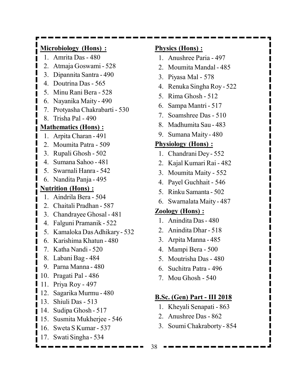### **Microbiology (Hons) :**

- 1. Amrita Das 480
- 2. Atmaja Goswami 528
- 3. Dipannita Santra 490
- 4. Doutrina Das 565
- 5. Minu Rani Bera 528
- 6. Nayanika Maity 490
- 7. Protyasha Chakrabarti 530
- 8. Trisha Pal 490

#### **Mathematics (Hons) :**

- 1. Arpita Charan 491
- 2. Moumita Patra 509
- 3. Rupali Ghosh 502
- 4. Sumana Sahoo 481
- 5. Swarnali Hanra 542
- 6. Nandita Panja 495

#### **Nutrition (Hons) :**

- 1. Aindrila Bera 504
- 2. Chaitali Pradhan 587
- 3. Chandrayee Ghosal 481
- 4. Falguni Pramanik 522
- 5. Kamaloka Das Adhikary 532
- 6. Karishima Khatun 480
- 7. Katha Nandi 520
- 8. Labani Bag 484
- 9. Parna Manna 480
- 10. Pragati Pal 486
- 11. Priya Roy 497
- 12. Sagarika Murmu 480
- 13. Shiuli Das 513
- 14. Sudipa Ghosh 517
- 15. Susmita Mukherjee 546
- 16. Sweta S Kumar 537
- 17. Swati Singha 534

### **Physics (Hons) :**

- 1. Anushree Paria 497
- 2. Moumita Mandal 485
- 3. Piyasa Mal 578
- 4. Renuka Singha Roy 522
- 5. Rima Ghosh 512
- 6. Sampa Mantri 517
- 7. Soamshree Das 510
- 8. Madhumita Sau 483
- 9. Sumana Maity 480

### **Physiology (Hons) :**

- 1. Chandrani Dey 552
- 2. Kajal Kumari Rai 482
- 3. Moumita Maity 552
- 4. Payel Guchhait 546
- 5. Rinku Samanta 502
- 6. Swarnalata Maity 487

#### **Zoology (Hons) :**

- 1. Anindita Das 480
- 2. Anindita Dhar 518
- 3. Arpita Manna 485
- 4. Mampi Bera 500
- 5. Moutrisha Das 480
- 6. Suchitra Patra 496
- 7. Mou Ghosh 540

#### **B.Sc. (Gen) Part - III 2018**

- 1. Kheyali Senapati 863
- 2. Anushree Das 862
- 3. Soumi Chakraborty 854

38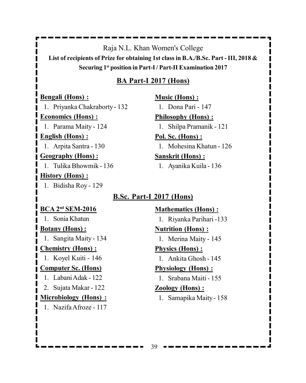Raja N.L. Khan Women's College

**List of recipients of Prize for obtaining 1st class in B.A./B.Sc. Part - III, 2018 & Securing 1st position in Part-I / Part-II Examination 2017**

### **BA Part-I 2017 (Hons)**

**Bengali (Hons) :**

1. Priyanka Chakraborty - 132

**Economics (Hons) :**

1. Parama Maity - 124

### **English (Hons) :**

1. Arpita Santra - 130

### **Geography (Hons) :**

1. Tulika Bhowmik - 136

### **History (Hons) :**

1. Bidisha Roy - 129

# **Music (Hons) :**

1. Dona Pari - 147

### **Philosophy (Hons) :**

1. Shilpa Pramanik - 121

### **Pol. Sc. (Hons) :**

1. Mohesina Khatun - 126

### **Sanskrit (Hons) :**

1. Ayanika Kuila - 136

### **B.Sc. Part-I 2017 (Hons)**

### **BCA 2nd SEM-2016**

1. Sonia Khatun

### **Botany (Hons) :**

1. Sangita Maity - 134

### **Chemistry (Hons) :**

1. Koyel Kuiti - 146

### **Computer Sc. (Hons)**

- 1. Labani Adak 122
- 2. Sujata Makar 122

### **Microbiology (Hons) :**

1. Nazifa Afroze - 117

### **Mathematics (Hons) :**

1. Riyanka Parihari -133

### **Nutrition (Hons) :**

1. Merina Maity - 145

### **Physics (Hons) :**

1. Ankita Ghosh - 145

### **Physiology (Hons) :**

1. Srabana Maiti - 155

### **Zoology (Hons) :**

1. Samapika Maity - 158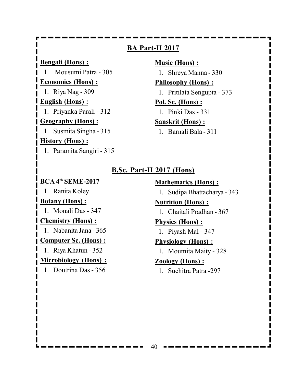**BA Part-II 2017 Bengali (Hons) :** 1. Mousumi Patra - 305 **Economics (Hons) :** 1. Riya Nag - 309 **English (Hons) :** 1. Priyanka Parali - 312 **Geography (Hons) :** 1. Susmita Singha - 315 **History (Hons) :** 1. Paramita Sangiri - 315

**Music (Hons) :** 1. Shreya Manna - 330 **Philosophy (Hons) :** 1. Pritilata Sengupta - 373 **Pol. Sc. (Hons) :** 1. Pinki Das - 331 **Sanskrit (Hons) :**

1. Barnali Bala - 311

### **B.Sc. Part-II 2017 (Hons)**

### **BCA 4th SEME-2017**

1. Ranita Koley

### **Botany (Hons) :**

1. Monali Das - 347

#### **Chemistry (Hons) :**

1. Nabanita Jana - 365

#### **Computer Sc. (Hons) :**

1. Riya Khatun - 352

### **Microbiology (Hons) :**

1. Doutrina Das - 356

**Mathematics (Hons) :** 1. Sudipa Bhattacharya - 343 **Nutrition (Hons) :**

1. Chaitali Pradhan - 367

### **Physics (Hons) :**

1. Piyash Mal - 347

### **Physiology (Hons) :**

1. Moumita Maity - 328

### **Zoology (Hons) :**

1. Suchitra Patra -297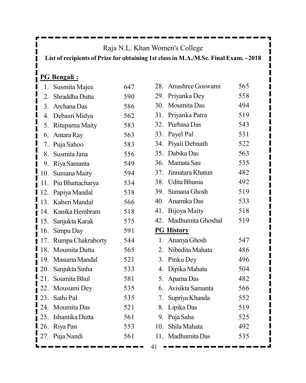### Raja N.L. Khan Women's College

**List of recipients of Prize for obtaining 1st class in M.A./M.Sc. Final Exam. - 2018**

## **PG Bengali :**

| 1.  | Susmita Majee      | 647 |
|-----|--------------------|-----|
|     | 2. Shraddha Dutta  | 590 |
| 3.  | Archana Das        | 586 |
| 4.  | Debasri Midya      | 562 |
| 5.  | Rituparna Maity    | 583 |
| 6.  | Antara Ray         | 563 |
| 7.  | Puja Sahoo         | 583 |
| 8.  | Susmita Jana       | 556 |
| 9.  | Riya Samanta       | 549 |
| 10. | Sumana Maity       | 594 |
| 11. | Piu Bhattacharya   | 534 |
| 12. | Papiya Mandal      | 538 |
| 13. | Kaberi Mandal      | 566 |
| 14. | Kanika Hembram     | 518 |
|     | 15. Sanjukta Karak | 575 |
| 16. | Simpu Day          | 591 |
| 17. | Rumpa Chakraborty  | 544 |
| 18. | Moumita Dutta      | 565 |
| 19. | Masuma Mandal      | 521 |
|     | 20. Sanjukta Sinha | 533 |
| 21. | Soumita Bhul       | 581 |
| 22. | Mousumi Dey        | 535 |
|     | 23. Sathi Pal      | 535 |
|     | 24. Moumita Das    | 521 |
| 25. | Ishantika Dutta    | 561 |
| 26. | Riya Pan           | 553 |
| 27. | Puja Nandi         | 561 |
|     |                    |     |

|     | 28. Anushree Goswami  | 565 |
|-----|-----------------------|-----|
| 29. | Priyanka Dey          | 558 |
|     | 30. Moumita Das       | 494 |
|     | 31. Priyanka Patra    | 519 |
|     | 32. Purbasa Das       | 543 |
|     | 33. Payel Pal         | 531 |
|     | 34. Piyali Debnath    | 522 |
|     | 35. Dabika Das        | 563 |
|     | 36. Mamata Sau        | 535 |
|     | 37. Jinnatara Khatun  | 482 |
|     | 38. Udita Bhunia      | 492 |
|     | 39. Sumana Ghosh      | 519 |
|     | 40. Anamika Das       | 533 |
|     | 41. Bijoya Maity      | 518 |
|     |                       |     |
|     | 42. Madhumita Ghoshal | 519 |
|     | <b>PG History</b>     |     |
|     | 1. Ananya Ghosh       | 547 |
|     | 2. Nibedita Mahata    | 486 |
|     | 3. Pinku Dey          | 496 |
|     | 4. Dipika Mahata      | 504 |
|     | 5. Aparna Das         | 482 |
|     | 6. Avisikta Samanta   | 566 |
|     | 7. Supriya Khanda     | 552 |
|     | 8. Lipika Das         | 519 |
|     | 9. Puja Saha          | 525 |
|     | 10. Shila Mahata      | 492 |
|     | 11. Madhumita Das     | 535 |

41